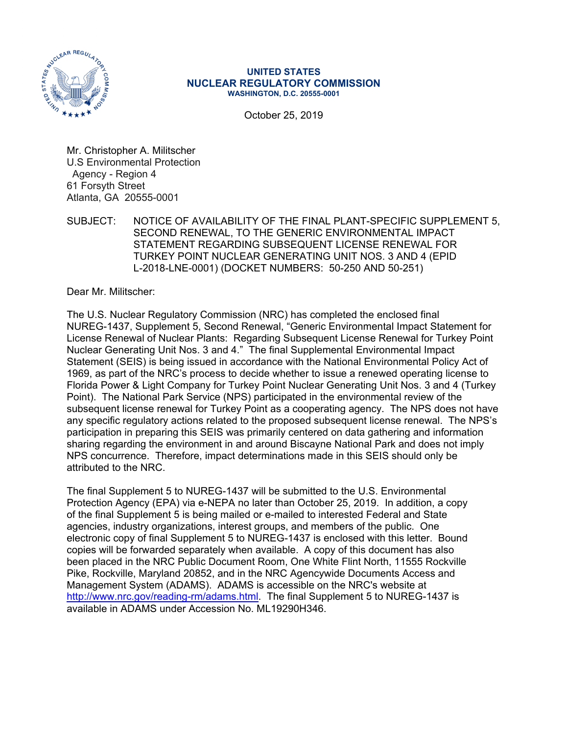

#### **UNITED STATES NUCLEAR REGULATORY COMMISSION WASHINGTON, D.C. 20555-0001**

October 25, 2019

Mr. Christopher A. Militscher U.S Environmental Protection Agency - Region 4 61 Forsyth Street Atlanta, GA 20555-0001

SUBJECT: NOTICE OF AVAILABILITY OF THE FINAL PLANT-SPECIFIC SUPPLEMENT 5, SECOND RENEWAL, TO THE GENERIC ENVIRONMENTAL IMPACT STATEMENT REGARDING SUBSEQUENT LICENSE RENEWAL FOR TURKEY POINT NUCLEAR GENERATING UNIT NOS. 3 AND 4 (EPID L-2018-LNE-0001) (DOCKET NUMBERS: 50-250 AND 50-251)

Dear Mr. Militscher:

The U.S. Nuclear Regulatory Commission (NRC) has completed the enclosed final NUREG-1437, Supplement 5, Second Renewal, "Generic Environmental Impact Statement for License Renewal of Nuclear Plants: Regarding Subsequent License Renewal for Turkey Point Nuclear Generating Unit Nos. 3 and 4." The final Supplemental Environmental Impact Statement (SEIS) is being issued in accordance with the National Environmental Policy Act of 1969, as part of the NRC's process to decide whether to issue a renewed operating license to Florida Power & Light Company for Turkey Point Nuclear Generating Unit Nos. 3 and 4 (Turkey Point). The National Park Service (NPS) participated in the environmental review of the subsequent license renewal for Turkey Point as a cooperating agency. The NPS does not have any specific regulatory actions related to the proposed subsequent license renewal. The NPS's participation in preparing this SEIS was primarily centered on data gathering and information sharing regarding the environment in and around Biscayne National Park and does not imply NPS concurrence. Therefore, impact determinations made in this SEIS should only be attributed to the NRC.

The final Supplement 5 to NUREG-1437 will be submitted to the U.S. Environmental Protection Agency (EPA) via e-NEPA no later than October 25, 2019. In addition, a copy of the final Supplement 5 is being mailed or e-mailed to interested Federal and State agencies, industry organizations, interest groups, and members of the public. One electronic copy of final Supplement 5 to NUREG-1437 is enclosed with this letter. Bound copies will be forwarded separately when available. A copy of this document has also been placed in the NRC Public Document Room, One White Flint North, 11555 Rockville Pike, Rockville, Maryland 20852, and in the NRC Agencywide Documents Access and Management System (ADAMS). ADAMS is accessible on the NRC's website at http://www.nrc.gov/reading-rm/adams.html. The final Supplement 5 to NUREG-1437 is available in ADAMS under Accession No. ML19290H346.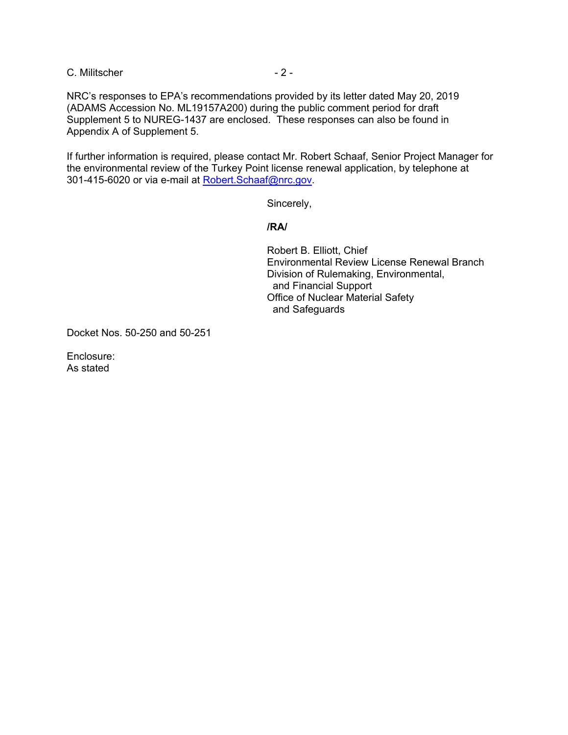C. Militscher - 2 -

NRC's responses to EPA's recommendations provided by its letter dated May 20, 2019 (ADAMS Accession No. ML19157A200) during the public comment period for draft Supplement 5 to NUREG-1437 are enclosed. These responses can also be found in Appendix A of Supplement 5.

If further information is required, please contact Mr. Robert Schaaf, Senior Project Manager for the environmental review of the Turkey Point license renewal application, by telephone at 301-415-6020 or via e-mail at Robert.Schaaf@nrc.gov.

Sincerely,

**/RA/** 

Robert B. Elliott, Chief Environmental Review License Renewal Branch Division of Rulemaking, Environmental, and Financial Support Office of Nuclear Material Safety and Safeguards

Docket Nos. 50-250 and 50-251

Enclosure: As stated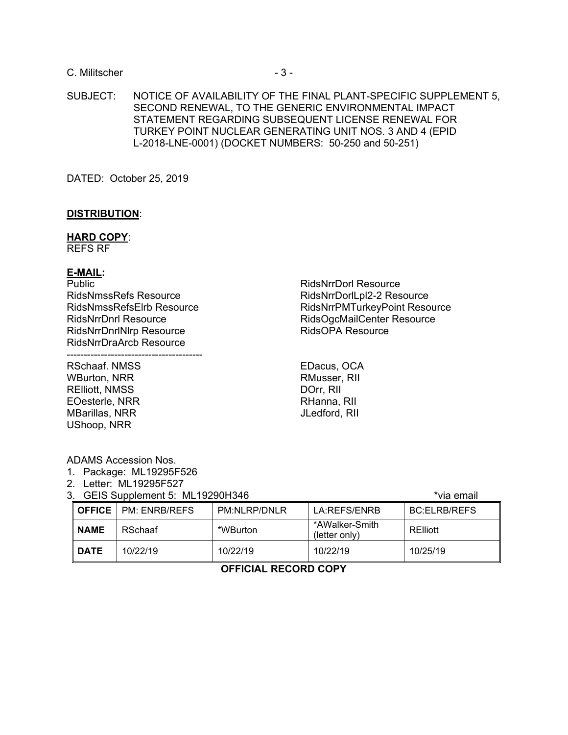## C. Militscher - 3 -

SUBJECT: NOTICE OF AVAILABILITY OF THE FINAL PLANT-SPECIFIC SUPPLEMENT 5, SECOND RENEWAL, TO THE GENERIC ENVIRONMENTAL IMPACT STATEMENT REGARDING SUBSEQUENT LICENSE RENEWAL FOR TURKEY POINT NUCLEAR GENERATING UNIT NOS. 3 AND 4 (EPID L-2018-LNE-0001) (DOCKET NUMBERS: 50-250 and 50-251)

DATED: October 25, 2019

#### **DISTRIBUTION**:

#### **HARD COPY**:

REFS RF

#### **E-MAIL:**

**Public** RidsNmssRefs Resource RidsNmssRefsElrb Resource RidsNrrDnrl Resource RidsNrrDnrlNlrp Resource RidsNrrDraArcb Resource

---------------------------------------- RSchaaf. NMSS

WBurton, NRR RElliott, NMSS EOesterle, NRR MBarillas, NRR UShoop, NRR

RidsNrrDorl Resource RidsNrrDorlLpl2-2 Resource RidsNrrPMTurkeyPoint Resource RidsOgcMailCenter Resource RidsOPA Resource

EDacus, OCA RMusser, RII DOrr, RII RHanna, RII JLedford, RII

ADAMS Accession Nos.

- 1. Package: ML19295F526
- 2. Letter: ML19295F527
- 3. GEIS Supplement 5: ML19290H346

| OFFICE      | PM: ENRB/REFS | PM:NLRP/DNLR | LA:REFS/ENRB                    | <b>BC:ELRB/REFS</b> |
|-------------|---------------|--------------|---------------------------------|---------------------|
| <b>NAME</b> | RSchaaf       | *WBurton     | *AWalker-Smith<br>(letter only) | RElliott            |
| <b>DATE</b> | 10/22/19      | 10/22/19     | 10/22/19                        | 10/25/19            |

# **OFFICIAL RECORD COPY**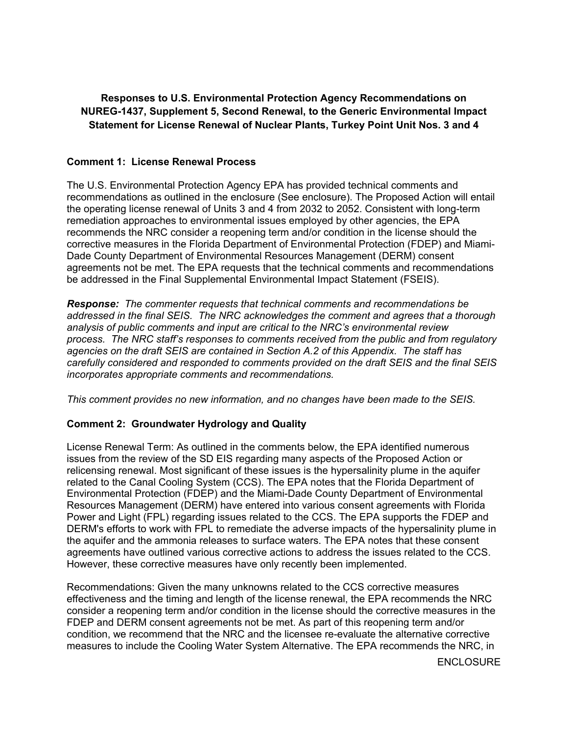**Responses to U.S. Environmental Protection Agency Recommendations on NUREG-1437, Supplement 5, Second Renewal, to the Generic Environmental Impact Statement for License Renewal of Nuclear Plants, Turkey Point Unit Nos. 3 and 4** 

# **Comment 1: License Renewal Process**

The U.S. Environmental Protection Agency EPA has provided technical comments and recommendations as outlined in the enclosure (See enclosure). The Proposed Action will entail the operating license renewal of Units 3 and 4 from 2032 to 2052. Consistent with long-term remediation approaches to environmental issues employed by other agencies, the EPA recommends the NRC consider a reopening term and/or condition in the license should the corrective measures in the Florida Department of Environmental Protection (FDEP) and Miami-Dade County Department of Environmental Resources Management (DERM) consent agreements not be met. The EPA requests that the technical comments and recommendations be addressed in the Final Supplemental Environmental Impact Statement (FSEIS).

*Response: The commenter requests that technical comments and recommendations be addressed in the final SEIS. The NRC acknowledges the comment and agrees that a thorough analysis of public comments and input are critical to the NRC's environmental review process. The NRC staff's responses to comments received from the public and from regulatory agencies on the draft SEIS are contained in Section A.2 of this Appendix. The staff has carefully considered and responded to comments provided on the draft SEIS and the final SEIS incorporates appropriate comments and recommendations.* 

*This comment provides no new information, and no changes have been made to the SEIS.* 

# **Comment 2: Groundwater Hydrology and Quality**

License Renewal Term: As outlined in the comments below, the EPA identified numerous issues from the review of the SD EIS regarding many aspects of the Proposed Action or relicensing renewal. Most significant of these issues is the hypersalinity plume in the aquifer related to the Canal Cooling System (CCS). The EPA notes that the Florida Department of Environmental Protection (FDEP) and the Miami-Dade County Department of Environmental Resources Management (DERM) have entered into various consent agreements with Florida Power and Light (FPL) regarding issues related to the CCS. The EPA supports the FDEP and DERM's efforts to work with FPL to remediate the adverse impacts of the hypersalinity plume in the aquifer and the ammonia releases to surface waters. The EPA notes that these consent agreements have outlined various corrective actions to address the issues related to the CCS. However, these corrective measures have only recently been implemented.

Recommendations: Given the many unknowns related to the CCS corrective measures effectiveness and the timing and length of the license renewal, the EPA recommends the NRC consider a reopening term and/or condition in the license should the corrective measures in the FDEP and DERM consent agreements not be met. As part of this reopening term and/or condition, we recommend that the NRC and the licensee re-evaluate the alternative corrective measures to include the Cooling Water System Alternative. The EPA recommends the NRC, in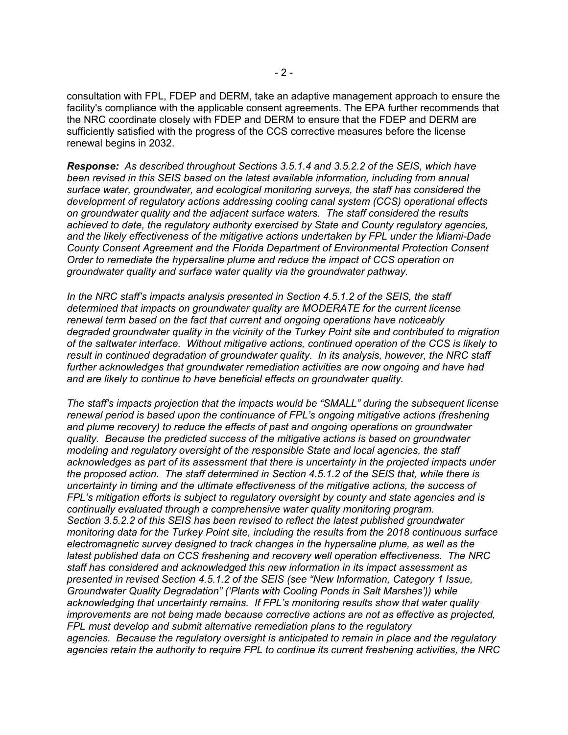consultation with FPL, FDEP and DERM, take an adaptive management approach to ensure the facility's compliance with the applicable consent agreements. The EPA further recommends that the NRC coordinate closely with FDEP and DERM to ensure that the FDEP and DERM are sufficiently satisfied with the progress of the CCS corrective measures before the license renewal begins in 2032.

*Response:**As described throughout Sections 3.5.1.4 and 3.5.2.2 of the SEIS, which have been revised in this SEIS based on the latest available information, including from annual surface water, groundwater, and ecological monitoring surveys, the staff has considered the development of regulatory actions addressing cooling canal system (CCS) operational effects on groundwater quality and the adjacent surface waters. The staff considered the results achieved to date, the regulatory authority exercised by State and County regulatory agencies, and the likely effectiveness of the mitigative actions undertaken by FPL under the Miami-Dade County Consent Agreement and the Florida Department of Environmental Protection Consent Order to remediate the hypersaline plume and reduce the impact of CCS operation on groundwater quality and surface water quality via the groundwater pathway.* 

*In the NRC staff's impacts analysis presented in Section 4.5.1.2 of the SEIS, the staff determined that impacts on groundwater quality are MODERATE for the current license renewal term based on the fact that current and ongoing operations have noticeably degraded groundwater quality in the vicinity of the Turkey Point site and contributed to migration of the saltwater interface. Without mitigative actions, continued operation of the CCS is likely to result in continued degradation of groundwater quality. In its analysis, however, the NRC staff further acknowledges that groundwater remediation activities are now ongoing and have had and are likely to continue to have beneficial effects on groundwater quality.* 

*The staff's impacts projection that the impacts would be "SMALL" during the subsequent license renewal period is based upon the continuance of FPL's ongoing mitigative actions (freshening and plume recovery) to reduce the effects of past and ongoing operations on groundwater quality. Because the predicted success of the mitigative actions is based on groundwater modeling and regulatory oversight of the responsible State and local agencies, the staff acknowledges as part of its assessment that there is uncertainty in the projected impacts under the proposed action. The staff determined in Section 4.5.1.2 of the SEIS that, while there is uncertainty in timing and the ultimate effectiveness of the mitigative actions, the success of FPL's mitigation efforts is subject to regulatory oversight by county and state agencies and is continually evaluated through a comprehensive water quality monitoring program. Section 3.5.2.2 of this SEIS has been revised to reflect the latest published groundwater monitoring data for the Turkey Point site, including the results from the 2018 continuous surface electromagnetic survey designed to track changes in the hypersaline plume, as well as the latest published data on CCS freshening and recovery well operation effectiveness. The NRC staff has considered and acknowledged this new information in its impact assessment as presented in revised Section 4.5.1.2 of the SEIS (see "New Information, Category 1 Issue, Groundwater Quality Degradation" ('Plants with Cooling Ponds in Salt Marshes')) while acknowledging that uncertainty remains. If FPL's monitoring results show that water quality improvements are not being made because corrective actions are not as effective as projected, FPL must develop and submit alternative remediation plans to the regulatory agencies. Because the regulatory oversight is anticipated to remain in place and the regulatory agencies retain the authority to require FPL to continue its current freshening activities, the NRC*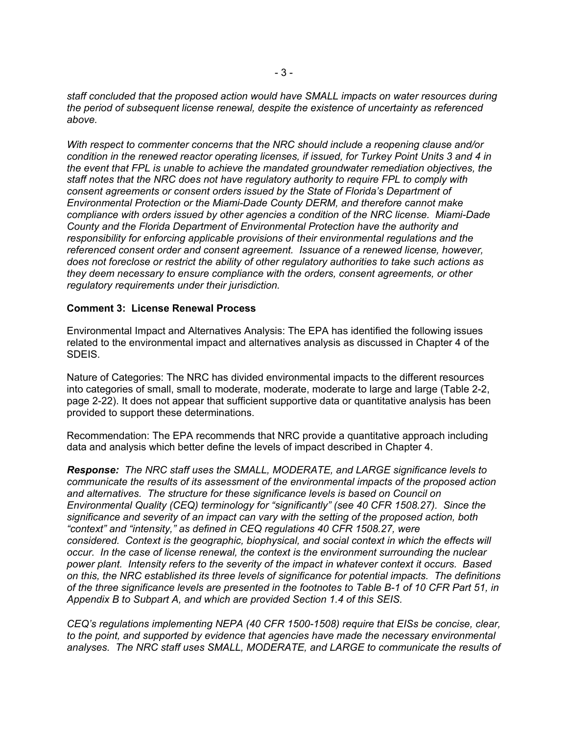*staff concluded that the proposed action would have SMALL impacts on water resources during the period of subsequent license renewal, despite the existence of uncertainty as referenced above.* 

*With respect to commenter concerns that the NRC should include a reopening clause and/or condition in the renewed reactor operating licenses, if issued, for Turkey Point Units 3 and 4 in the event that FPL is unable to achieve the mandated groundwater remediation objectives, the staff notes that the NRC does not have regulatory authority to require FPL to comply with consent agreements or consent orders issued by the State of Florida's Department of Environmental Protection or the Miami-Dade County DERM, and therefore cannot make compliance with orders issued by other agencies a condition of the NRC license. Miami-Dade County and the Florida Department of Environmental Protection have the authority and responsibility for enforcing applicable provisions of their environmental regulations and the referenced consent order and consent agreement. Issuance of a renewed license, however, does not foreclose or restrict the ability of other regulatory authorities to take such actions as they deem necessary to ensure compliance with the orders, consent agreements, or other regulatory requirements under their jurisdiction.* 

#### **Comment 3: License Renewal Process**

Environmental Impact and Alternatives Analysis: The EPA has identified the following issues related to the environmental impact and alternatives analysis as discussed in Chapter 4 of the SDEIS.

Nature of Categories: The NRC has divided environmental impacts to the different resources into categories of small, small to moderate, moderate, moderate to large and large (Table 2-2, page 2-22). It does not appear that sufficient supportive data or quantitative analysis has been provided to support these determinations.

Recommendation: The EPA recommends that NRC provide a quantitative approach including data and analysis which better define the levels of impact described in Chapter 4.

*Response: The NRC staff uses the SMALL, MODERATE, and LARGE significance levels to communicate the results of its assessment of the environmental impacts of the proposed action and alternatives. The structure for these significance levels is based on Council on Environmental Quality (CEQ) terminology for "significantly" (see 40 CFR 1508.27). Since the significance and severity of an impact can vary with the setting of the proposed action, both "context" and "intensity," as defined in CEQ regulations 40 CFR 1508.27, were considered. Context is the geographic, biophysical, and social context in which the effects will occur. In the case of license renewal, the context is the environment surrounding the nuclear power plant. Intensity refers to the severity of the impact in whatever context it occurs. Based on this, the NRC established its three levels of significance for potential impacts. The definitions of the three significance levels are presented in the footnotes to Table B-1 of 10 CFR Part 51, in Appendix B to Subpart A, and which are provided Section 1.4 of this SEIS.* 

*CEQ's regulations implementing NEPA (40 CFR 1500-1508) require that EISs be concise, clear, to the point, and supported by evidence that agencies have made the necessary environmental analyses. The NRC staff uses SMALL, MODERATE, and LARGE to communicate the results of*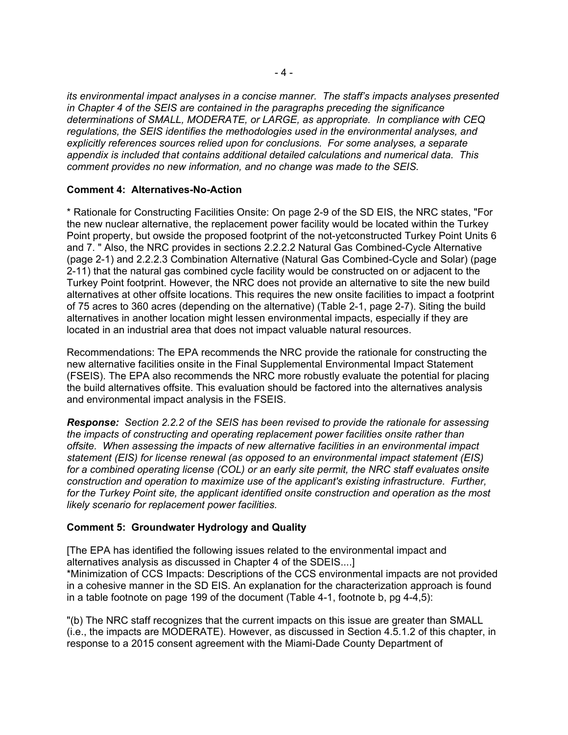*its environmental impact analyses in a concise manner. The staff's impacts analyses presented in Chapter 4 of the SEIS are contained in the paragraphs preceding the significance determinations of SMALL, MODERATE, or LARGE, as appropriate. In compliance with CEQ regulations, the SEIS identifies the methodologies used in the environmental analyses, and explicitly references sources relied upon for conclusions. For some analyses, a separate appendix is included that contains additional detailed calculations and numerical data. This comment provides no new information, and no change was made to the SEIS.* 

# **Comment 4: Alternatives-No-Action**

\* Rationale for Constructing Facilities Onsite: On page 2-9 of the SD EIS, the NRC states, "For the new nuclear alternative, the replacement power facility would be located within the Turkey Point property, but owside the proposed footprint of the not-yetconstructed Turkey Point Units 6 and 7. " Also, the NRC provides in sections 2.2.2.2 Natural Gas Combined-Cycle Alternative (page 2-1) and 2.2.2.3 Combination Alternative (Natural Gas Combined-Cycle and Solar) (page 2-11) that the natural gas combined cycle facility would be constructed on or adjacent to the Turkey Point footprint. However, the NRC does not provide an alternative to site the new build alternatives at other offsite locations. This requires the new onsite facilities to impact a footprint of 75 acres to 360 acres (depending on the alternative) (Table 2-1, page 2-7). Siting the build alternatives in another location might lessen environmental impacts, especially if they are located in an industrial area that does not impact valuable natural resources.

Recommendations: The EPA recommends the NRC provide the rationale for constructing the new alternative facilities onsite in the Final Supplemental Environmental Impact Statement (FSEIS). The EPA also recommends the NRC more robustly evaluate the potential for placing the build alternatives offsite. This evaluation should be factored into the alternatives analysis and environmental impact analysis in the FSEIS.

*Response:**Section 2.2.2 of the SEIS has been revised to provide the rationale for assessing the impacts of constructing and operating replacement power facilities onsite rather than offsite. When assessing the impacts of new alternative facilities in an environmental impact statement (EIS) for license renewal (as opposed to an environmental impact statement (EIS) for a combined operating license (COL) or an early site permit, the NRC staff evaluates onsite construction and operation to maximize use of the applicant's existing infrastructure. Further, for the Turkey Point site, the applicant identified onsite construction and operation as the most likely scenario for replacement power facilities.* 

# **Comment 5: Groundwater Hydrology and Quality**

[The EPA has identified the following issues related to the environmental impact and alternatives analysis as discussed in Chapter 4 of the SDEIS....] \*Minimization of CCS Impacts: Descriptions of the CCS environmental impacts are not provided in a cohesive manner in the SD EIS. An explanation for the characterization approach is found in a table footnote on page 199 of the document (Table 4-1, footnote b, pg 4-4,5):

"(b) The NRC staff recognizes that the current impacts on this issue are greater than SMALL (i.e., the impacts are MODERATE). However, as discussed in Section 4.5.1.2 of this chapter, in response to a 2015 consent agreement with the Miami-Dade County Department of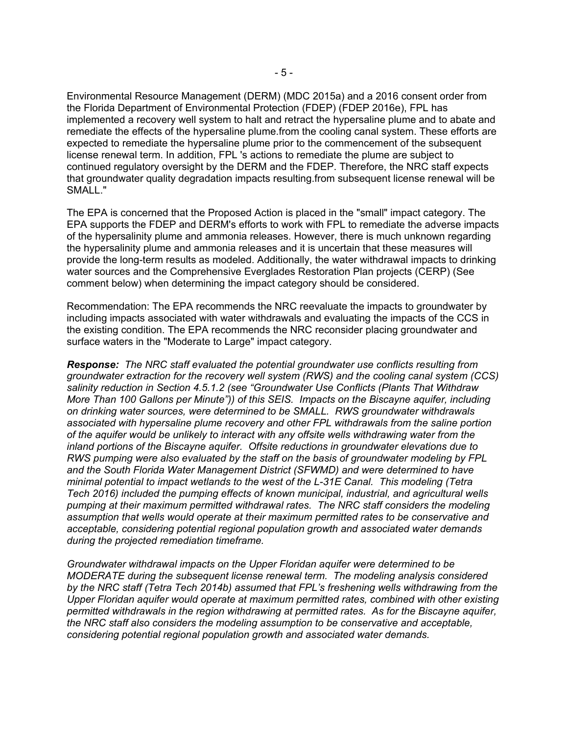Environmental Resource Management (DERM) (MDC 2015a) and a 2016 consent order from the Florida Department of Environmental Protection (FDEP) (FDEP 2016e), FPL has implemented a recovery well system to halt and retract the hypersaline plume and to abate and remediate the effects of the hypersaline plume.from the cooling canal system. These efforts are expected to remediate the hypersaline plume prior to the commencement of the subsequent license renewal term. In addition, FPL 's actions to remediate the plume are subject to continued regulatory oversight by the DERM and the FDEP. Therefore, the NRC staff expects that groundwater quality degradation impacts resulting.from subsequent license renewal will be SMALL."

The EPA is concerned that the Proposed Action is placed in the "small" impact category. The EPA supports the FDEP and DERM's efforts to work with FPL to remediate the adverse impacts of the hypersalinity plume and ammonia releases. However, there is much unknown regarding the hypersalinity plume and ammonia releases and it is uncertain that these measures will provide the long-term results as modeled. Additionally, the water withdrawal impacts to drinking water sources and the Comprehensive Everglades Restoration Plan projects (CERP) (See comment below) when determining the impact category should be considered.

Recommendation: The EPA recommends the NRC reevaluate the impacts to groundwater by including impacts associated with water withdrawals and evaluating the impacts of the CCS in the existing condition. The EPA recommends the NRC reconsider placing groundwater and surface waters in the "Moderate to Large" impact category.

*Response:**The NRC staff evaluated the potential groundwater use conflicts resulting from groundwater extraction for the recovery well system (RWS) and the cooling canal system (CCS) salinity reduction in Section 4.5.1.2 (see "Groundwater Use Conflicts (Plants That Withdraw More Than 100 Gallons per Minute")) of this SEIS. Impacts on the Biscayne aquifer, including on drinking water sources, were determined to be SMALL. RWS groundwater withdrawals associated with hypersaline plume recovery and other FPL withdrawals from the saline portion of the aquifer would be unlikely to interact with any offsite wells withdrawing water from the inland portions of the Biscayne aquifer. Offsite reductions in groundwater elevations due to RWS pumping were also evaluated by the staff on the basis of groundwater modeling by FPL and the South Florida Water Management District (SFWMD) and were determined to have minimal potential to impact wetlands to the west of the L-31E Canal. This modeling (Tetra Tech 2016) included the pumping effects of known municipal, industrial, and agricultural wells pumping at their maximum permitted withdrawal rates. The NRC staff considers the modeling assumption that wells would operate at their maximum permitted rates to be conservative and acceptable, considering potential regional population growth and associated water demands during the projected remediation timeframe.* 

*Groundwater withdrawal impacts on the Upper Floridan aquifer were determined to be MODERATE during the subsequent license renewal term. The modeling analysis considered by the NRC staff (Tetra Tech 2014b) assumed that FPL's freshening wells withdrawing from the Upper Floridan aquifer would operate at maximum permitted rates, combined with other existing permitted withdrawals in the region withdrawing at permitted rates. As for the Biscayne aquifer, the NRC staff also considers the modeling assumption to be conservative and acceptable, considering potential regional population growth and associated water demands.*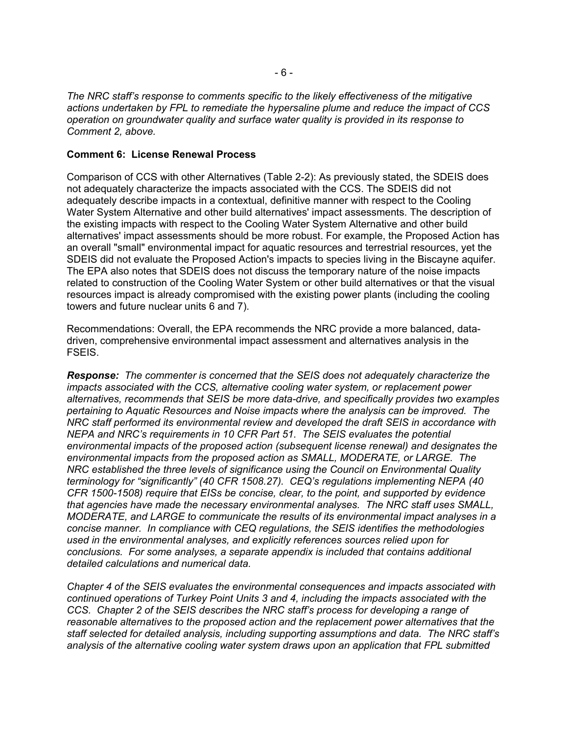*The NRC staff's response to comments specific to the likely effectiveness of the mitigative actions undertaken by FPL to remediate the hypersaline plume and reduce the impact of CCS operation on groundwater quality and surface water quality is provided in its response to Comment 2, above.* 

## **Comment 6: License Renewal Process**

Comparison of CCS with other Alternatives (Table 2-2): As previously stated, the SDEIS does not adequately characterize the impacts associated with the CCS. The SDEIS did not adequately describe impacts in a contextual, definitive manner with respect to the Cooling Water System Alternative and other build alternatives' impact assessments. The description of the existing impacts with respect to the Cooling Water System Alternative and other build alternatives' impact assessments should be more robust. For example, the Proposed Action has an overall "small" environmental impact for aquatic resources and terrestrial resources, yet the SDEIS did not evaluate the Proposed Action's impacts to species living in the Biscayne aquifer. The EPA also notes that SDEIS does not discuss the temporary nature of the noise impacts related to construction of the Cooling Water System or other build alternatives or that the visual resources impact is already compromised with the existing power plants (including the cooling towers and future nuclear units 6 and 7).

Recommendations: Overall, the EPA recommends the NRC provide a more balanced, datadriven, comprehensive environmental impact assessment and alternatives analysis in the FSEIS.

*Response:**The commenter is concerned that the SEIS does not adequately characterize the impacts associated with the CCS, alternative cooling water system, or replacement power alternatives, recommends that SEIS be more data-drive, and specifically provides two examples pertaining to Aquatic Resources and Noise impacts where the analysis can be improved. The NRC staff performed its environmental review and developed the draft SEIS in accordance with NEPA and NRC's requirements in 10 CFR Part 51. The SEIS evaluates the potential environmental impacts of the proposed action (subsequent license renewal) and designates the environmental impacts from the proposed action as SMALL, MODERATE, or LARGE. The NRC established the three levels of significance using the Council on Environmental Quality terminology for "significantly" (40 CFR 1508.27). CEQ's regulations implementing NEPA (40 CFR 1500-1508) require that EISs be concise, clear, to the point, and supported by evidence that agencies have made the necessary environmental analyses. The NRC staff uses SMALL, MODERATE, and LARGE to communicate the results of its environmental impact analyses in a concise manner. In compliance with CEQ regulations, the SEIS identifies the methodologies used in the environmental analyses, and explicitly references sources relied upon for conclusions. For some analyses, a separate appendix is included that contains additional detailed calculations and numerical data.* 

*Chapter 4 of the SEIS evaluates the environmental consequences and impacts associated with continued operations of Turkey Point Units 3 and 4, including the impacts associated with the CCS. Chapter 2 of the SEIS describes the NRC staff's process for developing a range of reasonable alternatives to the proposed action and the replacement power alternatives that the staff selected for detailed analysis, including supporting assumptions and data. The NRC staff's analysis of the alternative cooling water system draws upon an application that FPL submitted*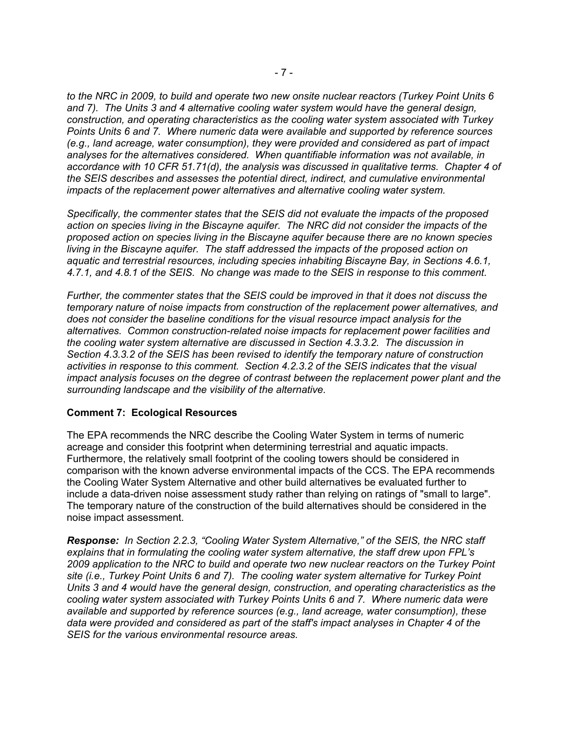*to the NRC in 2009, to build and operate two new onsite nuclear reactors (Turkey Point Units 6 and 7). The Units 3 and 4 alternative cooling water system would have the general design, construction, and operating characteristics as the cooling water system associated with Turkey Points Units 6 and 7. Where numeric data were available and supported by reference sources (e.g., land acreage, water consumption), they were provided and considered as part of impact analyses for the alternatives considered. When quantifiable information was not available, in accordance with 10 CFR 51.71(d), the analysis was discussed in qualitative terms. Chapter 4 of the SEIS describes and assesses the potential direct, indirect, and cumulative environmental impacts of the replacement power alternatives and alternative cooling water system.* 

*Specifically, the commenter states that the SEIS did not evaluate the impacts of the proposed action on species living in the Biscayne aquifer. The NRC did not consider the impacts of the proposed action on species living in the Biscayne aquifer because there are no known species living in the Biscayne aquifer. The staff addressed the impacts of the proposed action on aquatic and terrestrial resources, including species inhabiting Biscayne Bay, in Sections 4.6.1, 4.7.1, and 4.8.1 of the SEIS. No change was made to the SEIS in response to this comment.* 

*Further, the commenter states that the SEIS could be improved in that it does not discuss the temporary nature of noise impacts from construction of the replacement power alternatives, and does not consider the baseline conditions for the visual resource impact analysis for the alternatives. Common construction-related noise impacts for replacement power facilities and the cooling water system alternative are discussed in Section 4.3.3.2. The discussion in Section 4.3.3.2 of the SEIS has been revised to identify the temporary nature of construction activities in response to this comment. Section 4.2.3.2 of the SEIS indicates that the visual impact analysis focuses on the degree of contrast between the replacement power plant and the surrounding landscape and the visibility of the alternative.* 

## **Comment 7: Ecological Resources**

The EPA recommends the NRC describe the Cooling Water System in terms of numeric acreage and consider this footprint when determining terrestrial and aquatic impacts. Furthermore, the relatively small footprint of the cooling towers should be considered in comparison with the known adverse environmental impacts of the CCS. The EPA recommends the Cooling Water System Alternative and other build alternatives be evaluated further to include a data-driven noise assessment study rather than relying on ratings of "small to large". The temporary nature of the construction of the build alternatives should be considered in the noise impact assessment.

*Response:**In Section 2.2.3, "Cooling Water System Alternative," of the SEIS, the NRC staff explains that in formulating the cooling water system alternative, the staff drew upon FPL's 2009 application to the NRC to build and operate two new nuclear reactors on the Turkey Point site (i.e., Turkey Point Units 6 and 7). The cooling water system alternative for Turkey Point Units 3 and 4 would have the general design, construction, and operating characteristics as the cooling water system associated with Turkey Points Units 6 and 7. Where numeric data were available and supported by reference sources (e.g., land acreage, water consumption), these data were provided and considered as part of the staff's impact analyses in Chapter 4 of the SEIS for the various environmental resource areas.*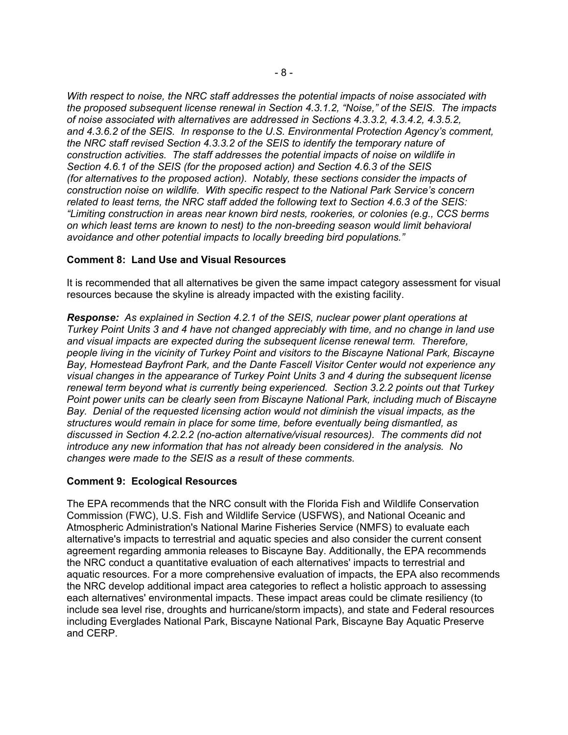*With respect to noise, the NRC staff addresses the potential impacts of noise associated with the proposed subsequent license renewal in Section 4.3.1.2, "Noise," of the SEIS. The impacts of noise associated with alternatives are addressed in Sections 4.3.3.2, 4.3.4.2, 4.3.5.2, and 4.3.6.2 of the SEIS. In response to the U.S. Environmental Protection Agency's comment, the NRC staff revised Section 4.3.3.2 of the SEIS to identify the temporary nature of construction activities. The staff addresses the potential impacts of noise on wildlife in Section 4.6.1 of the SEIS (for the proposed action) and Section 4.6.3 of the SEIS (for alternatives to the proposed action). Notably, these sections consider the impacts of construction noise on wildlife. With specific respect to the National Park Service's concern related to least terns, the NRC staff added the following text to Section 4.6.3 of the SEIS: "Limiting construction in areas near known bird nests, rookeries, or colonies (e.g., CCS berms on which least terns are known to nest) to the non-breeding season would limit behavioral avoidance and other potential impacts to locally breeding bird populations."* 

# **Comment 8: Land Use and Visual Resources**

It is recommended that all alternatives be given the same impact category assessment for visual resources because the skyline is already impacted with the existing facility.

*Response: As explained in Section 4.2.1 of the SEIS, nuclear power plant operations at Turkey Point Units 3 and 4 have not changed appreciably with time, and no change in land use and visual impacts are expected during the subsequent license renewal term. Therefore, people living in the vicinity of Turkey Point and visitors to the Biscayne National Park, Biscayne Bay, Homestead Bayfront Park, and the Dante Fascell Visitor Center would not experience any visual changes in the appearance of Turkey Point Units 3 and 4 during the subsequent license renewal term beyond what is currently being experienced. Section 3.2.2 points out that Turkey Point power units can be clearly seen from Biscayne National Park, including much of Biscayne Bay. Denial of the requested licensing action would not diminish the visual impacts, as the structures would remain in place for some time, before eventually being dismantled, as discussed in Section 4.2.2.2 (no-action alternative/visual resources). The comments did not introduce any new information that has not already been considered in the analysis. No changes were made to the SEIS as a result of these comments.* 

## **Comment 9: Ecological Resources**

The EPA recommends that the NRC consult with the Florida Fish and Wildlife Conservation Commission (FWC), U.S. Fish and Wildlife Service (USFWS), and National Oceanic and Atmospheric Administration's National Marine Fisheries Service (NMFS) to evaluate each alternative's impacts to terrestrial and aquatic species and also consider the current consent agreement regarding ammonia releases to Biscayne Bay. Additionally, the EPA recommends the NRC conduct a quantitative evaluation of each alternatives' impacts to terrestrial and aquatic resources. For a more comprehensive evaluation of impacts, the EPA also recommends the NRC develop additional impact area categories to reflect a holistic approach to assessing each alternatives' environmental impacts. These impact areas could be climate resiliency (to include sea level rise, droughts and hurricane/storm impacts), and state and Federal resources including Everglades National Park, Biscayne National Park, Biscayne Bay Aquatic Preserve and CERP.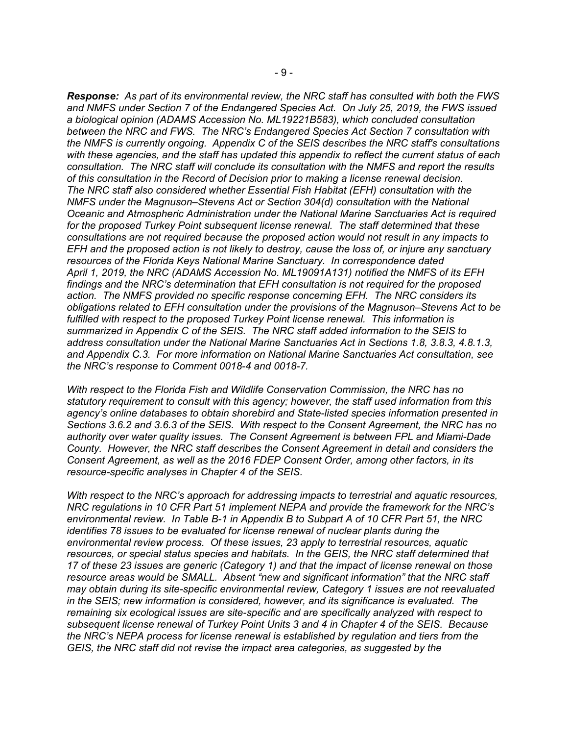*Response:**As part of its environmental review, the NRC staff has consulted with both the FWS and NMFS under Section 7 of the Endangered Species Act. On July 25, 2019, the FWS issued a biological opinion (ADAMS Accession No. ML19221B583), which concluded consultation between the NRC and FWS. The NRC's Endangered Species Act Section 7 consultation with the NMFS is currently ongoing. Appendix C of the SEIS describes the NRC staff's consultations with these agencies, and the staff has updated this appendix to reflect the current status of each consultation. The NRC staff will conclude its consultation with the NMFS and report the results of this consultation in the Record of Decision prior to making a license renewal decision. The NRC staff also considered whether Essential Fish Habitat (EFH) consultation with the NMFS under the Magnuson–Stevens Act or Section 304(d) consultation with the National Oceanic and Atmospheric Administration under the National Marine Sanctuaries Act is required for the proposed Turkey Point subsequent license renewal. The staff determined that these consultations are not required because the proposed action would not result in any impacts to EFH and the proposed action is not likely to destroy, cause the loss of, or injure any sanctuary resources of the Florida Keys National Marine Sanctuary. In correspondence dated April 1, 2019, the NRC (ADAMS Accession No. ML19091A131) notified the NMFS of its EFH findings and the NRC's determination that EFH consultation is not required for the proposed action. The NMFS provided no specific response concerning EFH. The NRC considers its obligations related to EFH consultation under the provisions of the Magnuson–Stevens Act to be fulfilled with respect to the proposed Turkey Point license renewal. This information is summarized in Appendix C of the SEIS. The NRC staff added information to the SEIS to address consultation under the National Marine Sanctuaries Act in Sections 1.8, 3.8.3, 4.8.1.3, and Appendix C.3. For more information on National Marine Sanctuaries Act consultation, see the NRC's response to Comment 0018-4 and 0018-7.* 

*With respect to the Florida Fish and Wildlife Conservation Commission, the NRC has no statutory requirement to consult with this agency; however, the staff used information from this agency's online databases to obtain shorebird and State-listed species information presented in Sections 3.6.2 and 3.6.3 of the SEIS. With respect to the Consent Agreement, the NRC has no authority over water quality issues. The Consent Agreement is between FPL and Miami-Dade County. However, the NRC staff describes the Consent Agreement in detail and considers the Consent Agreement, as well as the 2016 FDEP Consent Order, among other factors, in its resource-specific analyses in Chapter 4 of the SEIS.* 

*With respect to the NRC's approach for addressing impacts to terrestrial and aquatic resources, NRC regulations in 10 CFR Part 51 implement NEPA and provide the framework for the NRC's environmental review. In Table B-1 in Appendix B to Subpart A of 10 CFR Part 51, the NRC identifies 78 issues to be evaluated for license renewal of nuclear plants during the environmental review process. Of these issues, 23 apply to terrestrial resources, aquatic resources, or special status species and habitats. In the GEIS, the NRC staff determined that 17 of these 23 issues are generic (Category 1) and that the impact of license renewal on those resource areas would be SMALL. Absent "new and significant information" that the NRC staff may obtain during its site-specific environmental review, Category 1 issues are not reevaluated in the SEIS; new information is considered, however, and its significance is evaluated. The remaining six ecological issues are site-specific and are specifically analyzed with respect to subsequent license renewal of Turkey Point Units 3 and 4 in Chapter 4 of the SEIS. Because the NRC's NEPA process for license renewal is established by regulation and tiers from the GEIS, the NRC staff did not revise the impact area categories, as suggested by the*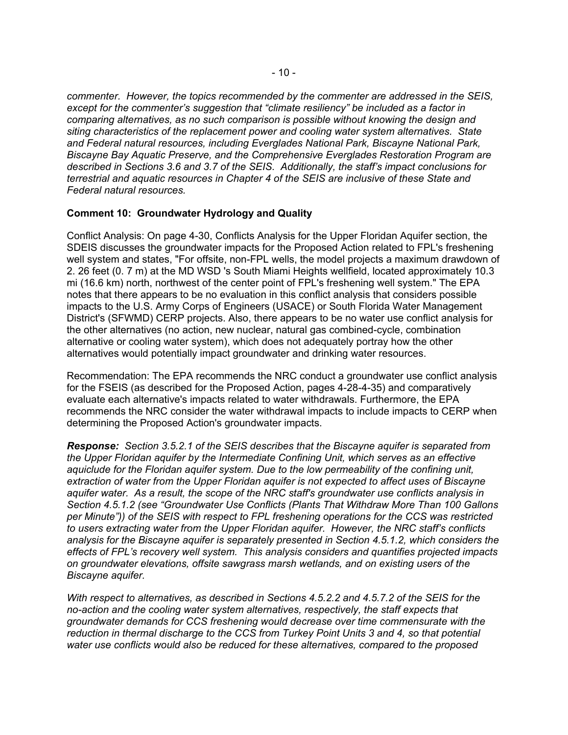*commenter. However, the topics recommended by the commenter are addressed in the SEIS, except for the commenter's suggestion that "climate resiliency" be included as a factor in comparing alternatives, as no such comparison is possible without knowing the design and siting characteristics of the replacement power and cooling water system alternatives. State and Federal natural resources, including Everglades National Park, Biscayne National Park, Biscayne Bay Aquatic Preserve, and the Comprehensive Everglades Restoration Program are described in Sections 3.6 and 3.7 of the SEIS. Additionally, the staff's impact conclusions for terrestrial and aquatic resources in Chapter 4 of the SEIS are inclusive of these State and Federal natural resources.* 

# **Comment 10: Groundwater Hydrology and Quality**

Conflict Analysis: On page 4-30, Conflicts Analysis for the Upper Floridan Aquifer section, the SDEIS discusses the groundwater impacts for the Proposed Action related to FPL's freshening well system and states, "For offsite, non-FPL wells, the model projects a maximum drawdown of 2. 26 feet (0. 7 m) at the MD WSD 's South Miami Heights wellfield, located approximately 10.3 mi (16.6 km) north, northwest of the center point of FPL's freshening well system." The EPA notes that there appears to be no evaluation in this conflict analysis that considers possible impacts to the U.S. Army Corps of Engineers (USACE) or South Florida Water Management District's (SFWMD) CERP projects. Also, there appears to be no water use conflict analysis for the other alternatives (no action, new nuclear, natural gas combined-cycle, combination alternative or cooling water system), which does not adequately portray how the other alternatives would potentially impact groundwater and drinking water resources.

Recommendation: The EPA recommends the NRC conduct a groundwater use conflict analysis for the FSEIS (as described for the Proposed Action, pages 4-28-4-35) and comparatively evaluate each alternative's impacts related to water withdrawals. Furthermore, the EPA recommends the NRC consider the water withdrawal impacts to include impacts to CERP when determining the Proposed Action's groundwater impacts.

*Response: Section 3.5.2.1 of the SEIS describes that the Biscayne aquifer is separated from the Upper Floridan aquifer by the Intermediate Confining Unit, which serves as an effective aquiclude for the Floridan aquifer system. Due to the low permeability of the confining unit, extraction of water from the Upper Floridan aquifer is not expected to affect uses of Biscayne aquifer water. As a result, the scope of the NRC staff's groundwater use conflicts analysis in Section 4.5.1.2 (see "Groundwater Use Conflicts (Plants That Withdraw More Than 100 Gallons per Minute")) of the SEIS with respect to FPL freshening operations for the CCS was restricted to users extracting water from the Upper Floridan aquifer. However, the NRC staff's conflicts analysis for the Biscayne aquifer is separately presented in Section 4.5.1.2, which considers the effects of FPL's recovery well system. This analysis considers and quantifies projected impacts on groundwater elevations, offsite sawgrass marsh wetlands, and on existing users of the Biscayne aquifer.* 

*With respect to alternatives, as described in Sections 4.5.2.2 and 4.5.7.2 of the SEIS for the no-action and the cooling water system alternatives, respectively, the staff expects that groundwater demands for CCS freshening would decrease over time commensurate with the reduction in thermal discharge to the CCS from Turkey Point Units 3 and 4, so that potential water use conflicts would also be reduced for these alternatives, compared to the proposed*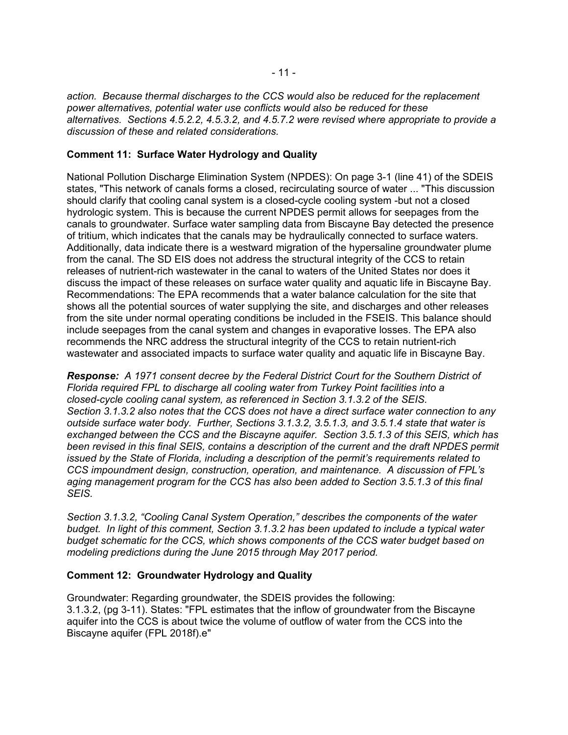*action. Because thermal discharges to the CCS would also be reduced for the replacement power alternatives, potential water use conflicts would also be reduced for these alternatives. Sections 4.5.2.2, 4.5.3.2, and 4.5.7.2 were revised where appropriate to provide a discussion of these and related considerations.* 

# **Comment 11: Surface Water Hydrology and Quality**

National Pollution Discharge Elimination System (NPDES): On page 3-1 (line 41) of the SDEIS states, "This network of canals forms a closed, recirculating source of water ... "This discussion should clarify that cooling canal system is a closed-cycle cooling system -but not a closed hydrologic system. This is because the current NPDES permit allows for seepages from the canals to groundwater. Surface water sampling data from Biscayne Bay detected the presence of tritium, which indicates that the canals may be hydraulically connected to surface waters. Additionally, data indicate there is a westward migration of the hypersaline groundwater plume from the canal. The SD EIS does not address the structural integrity of the CCS to retain releases of nutrient-rich wastewater in the canal to waters of the United States nor does it discuss the impact of these releases on surface water quality and aquatic life in Biscayne Bay. Recommendations: The EPA recommends that a water balance calculation for the site that shows all the potential sources of water supplying the site, and discharges and other releases from the site under normal operating conditions be included in the FSEIS. This balance should include seepages from the canal system and changes in evaporative losses. The EPA also recommends the NRC address the structural integrity of the CCS to retain nutrient-rich wastewater and associated impacts to surface water quality and aquatic life in Biscayne Bay.

*Response: A 1971 consent decree by the Federal District Court for the Southern District of Florida required FPL to discharge all cooling water from Turkey Point facilities into a closed-cycle cooling canal system, as referenced in Section 3.1.3.2 of the SEIS. Section 3.1.3.2 also notes that the CCS does not have a direct surface water connection to any outside surface water body. Further, Sections 3.1.3.2, 3.5.1.3, and 3.5.1.4 state that water is exchanged between the CCS and the Biscayne aquifer. Section 3.5.1.3 of this SEIS, which has*  been revised in this final SEIS, contains a description of the current and the draft NPDES permit *issued by the State of Florida, including a description of the permit's requirements related to CCS impoundment design, construction, operation, and maintenance. A discussion of FPL's aging management program for the CCS has also been added to Section 3.5.1.3 of this final SEIS.* 

*Section 3.1.3.2, "Cooling Canal System Operation," describes the components of the water budget. In light of this comment, Section 3.1.3.2 has been updated to include a typical water budget schematic for the CCS, which shows components of the CCS water budget based on modeling predictions during the June 2015 through May 2017 period.* 

## **Comment 12: Groundwater Hydrology and Quality**

Groundwater: Regarding groundwater, the SDEIS provides the following: 3.1.3.2, (pg 3-11). States: "FPL estimates that the inflow of groundwater from the Biscayne aquifer into the CCS is about twice the volume of outflow of water from the CCS into the Biscayne aquifer (FPL 2018f).e"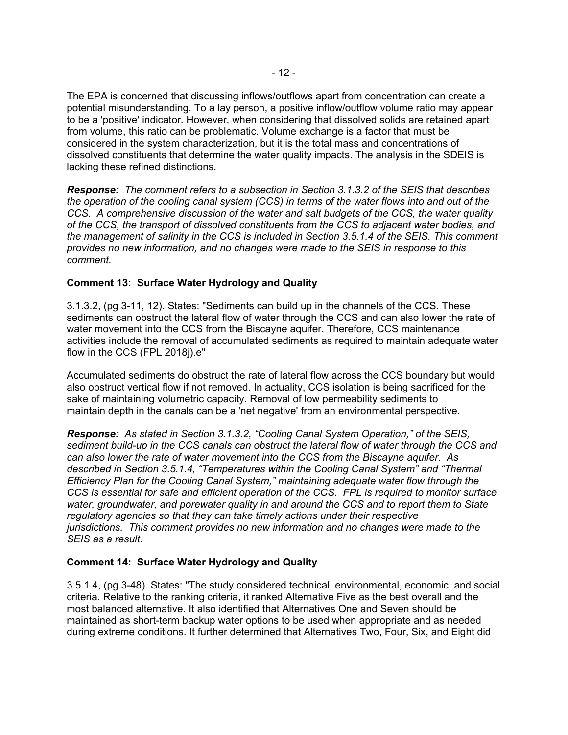The EPA is concerned that discussing inflows/outflows apart from concentration can create a potential misunderstanding. To a lay person, a positive inflow/outflow volume ratio may appear to be a 'positive' indicator. However, when considering that dissolved solids are retained apart from volume, this ratio can be problematic. Volume exchange is a factor that must be considered in the system characterization, but it is the total mass and concentrations of dissolved constituents that determine the water quality impacts. The analysis in the SDEIS is lacking these refined distinctions.

*Response:**The comment refers to a subsection in Section 3.1.3.2 of the SEIS that describes the operation of the cooling canal system (CCS) in terms of the water flows into and out of the CCS. A comprehensive discussion of the water and salt budgets of the CCS, the water quality of the CCS, the transport of dissolved constituents from the CCS to adjacent water bodies, and the management of salinity in the CCS is included in Section 3.5.1.4 of the SEIS. This comment provides no new information, and no changes were made to the SEIS in response to this comment.* 

# **Comment 13: Surface Water Hydrology and Quality**

3.1.3.2, (pg 3-11, 12). States: "Sediments can build up in the channels of the CCS. These sediments can obstruct the lateral flow of water through the CCS and can also lower the rate of water movement into the CCS from the Biscayne aquifer. Therefore, CCS maintenance activities include the removal of accumulated sediments as required to maintain adequate water flow in the CCS (FPL 2018j).e"

Accumulated sediments do obstruct the rate of lateral flow across the CCS boundary but would also obstruct vertical flow if not removed. In actuality, CCS isolation is being sacrificed for the sake of maintaining volumetric capacity. Removal of low permeability sediments to maintain depth in the canals can be a 'net negative' from an environmental perspective.

*Response: As stated in Section 3.1.3.2, "Cooling Canal System Operation," of the SEIS, sediment build-up in the CCS canals can obstruct the lateral flow of water through the CCS and can also lower the rate of water movement into the CCS from the Biscayne aquifer. As described in Section 3.5.1.4, "Temperatures within the Cooling Canal System" and "Thermal Efficiency Plan for the Cooling Canal System," maintaining adequate water flow through the CCS is essential for safe and efficient operation of the CCS. FPL is required to monitor surface water, groundwater, and porewater quality in and around the CCS and to report them to State regulatory agencies so that they can take timely actions under their respective jurisdictions. This comment provides no new information and no changes were made to the SEIS as a result.* 

## **Comment 14: Surface Water Hydrology and Quality**

3.5.1.4, (pg 3-48). States: "The study considered technical, environmental, economic, and social criteria. Relative to the ranking criteria, it ranked Alternative Five as the best overall and the most balanced alternative. It also identified that Alternatives One and Seven should be maintained as short-term backup water options to be used when appropriate and as needed during extreme conditions. It further determined that Alternatives Two, Four, Six, and Eight did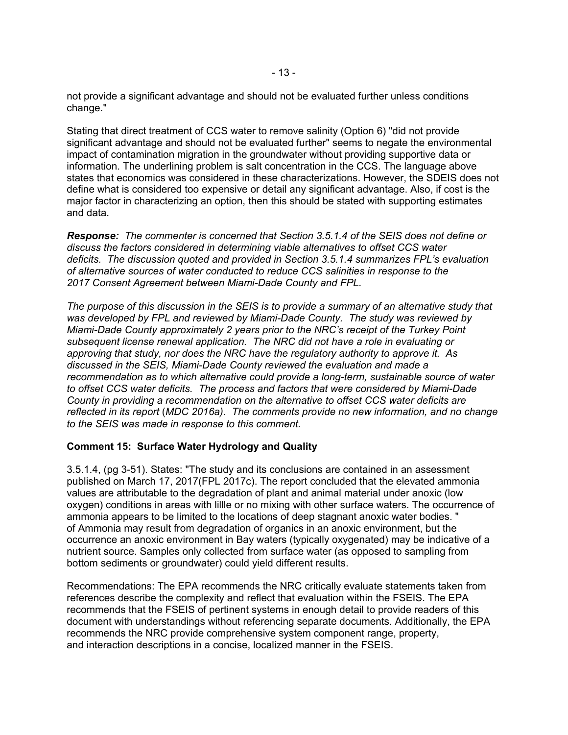not provide a significant advantage and should not be evaluated further unless conditions change."

Stating that direct treatment of CCS water to remove salinity (Option 6) "did not provide significant advantage and should not be evaluated further" seems to negate the environmental impact of contamination migration in the groundwater without providing supportive data or information. The underlining problem is salt concentration in the CCS. The language above states that economics was considered in these characterizations. However, the SDEIS does not define what is considered too expensive or detail any significant advantage. Also, if cost is the major factor in characterizing an option, then this should be stated with supporting estimates and data.

*Response: The commenter is concerned that Section 3.5.1.4 of the SEIS does not define or discuss the factors considered in determining viable alternatives to offset CCS water deficits. The discussion quoted and provided in Section 3.5.1.4 summarizes FPL's evaluation of alternative sources of water conducted to reduce CCS salinities in response to the 2017 Consent Agreement between Miami-Dade County and FPL.* 

*The purpose of this discussion in the SEIS is to provide a summary of an alternative study that was developed by FPL and reviewed by Miami-Dade County. The study was reviewed by Miami-Dade County approximately 2 years prior to the NRC's receipt of the Turkey Point subsequent license renewal application. The NRC did not have a role in evaluating or approving that study, nor does the NRC have the regulatory authority to approve it. As discussed in the SEIS, Miami-Dade County reviewed the evaluation and made a recommendation as to which alternative could provide a long-term, sustainable source of water to offset CCS water deficits. The process and factors that were considered by Miami-Dade County in providing a recommendation on the alternative to offset CCS water deficits are reflected in its report* (*MDC 2016a). The comments provide no new information, and no change to the SEIS was made in response to this comment.* 

## **Comment 15: Surface Water Hydrology and Quality**

3.5.1.4, (pg 3-51). States: "The study and its conclusions are contained in an assessment published on March 17, 2017(FPL 2017c). The report concluded that the elevated ammonia values are attributable to the degradation of plant and animal material under anoxic (low oxygen) conditions in areas with lillle or no mixing with other surface waters. The occurrence of ammonia appears to be limited to the locations of deep stagnant anoxic water bodies. " of Ammonia may result from degradation of organics in an anoxic environment, but the occurrence an anoxic environment in Bay waters (typically oxygenated) may be indicative of a nutrient source. Samples only collected from surface water (as opposed to sampling from bottom sediments or groundwater) could yield different results.

Recommendations: The EPA recommends the NRC critically evaluate statements taken from references describe the complexity and reflect that evaluation within the FSEIS. The EPA recommends that the FSEIS of pertinent systems in enough detail to provide readers of this document with understandings without referencing separate documents. Additionally, the EPA recommends the NRC provide comprehensive system component range, property, and interaction descriptions in a concise, localized manner in the FSEIS.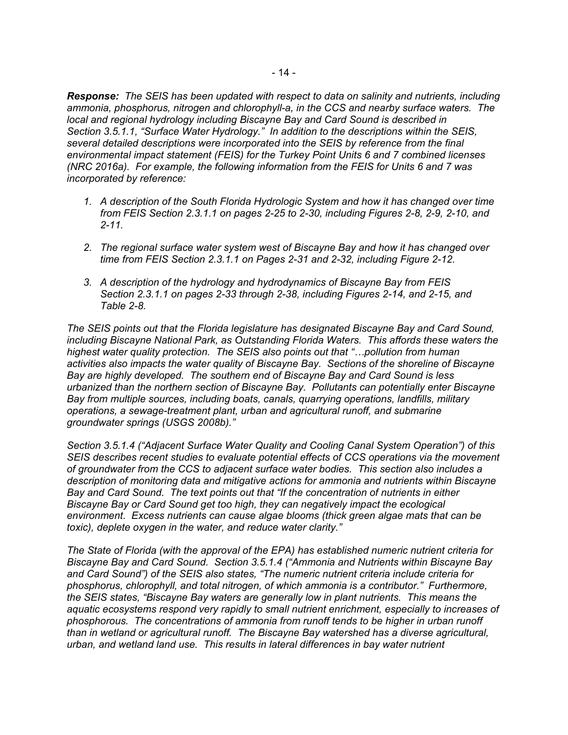*Response: The SEIS has been updated with respect to data on salinity and nutrients, including ammonia, phosphorus, nitrogen and chlorophyll-a, in the CCS and nearby surface waters. The local and regional hydrology including Biscayne Bay and Card Sound is described in Section 3.5.1.1, "Surface Water Hydrology." In addition to the descriptions within the SEIS, several detailed descriptions were incorporated into the SEIS by reference from the final environmental impact statement (FEIS) for the Turkey Point Units 6 and 7 combined licenses (NRC 2016a). For example, the following information from the FEIS for Units 6 and 7 was incorporated by reference:* 

- *1. A description of the South Florida Hydrologic System and how it has changed over time from FEIS Section 2.3.1.1 on pages 2-25 to 2-30, including Figures 2-8, 2-9, 2-10, and 2-11.*
- *2. The regional surface water system west of Biscayne Bay and how it has changed over time from FEIS Section 2.3.1.1 on Pages 2-31 and 2-32, including Figure 2-12.*
- *3. A description of the hydrology and hydrodynamics of Biscayne Bay from FEIS Section 2.3.1.1 on pages 2-33 through 2-38, including Figures 2-14, and 2-15, and Table 2-8.*

*The SEIS points out that the Florida legislature has designated Biscayne Bay and Card Sound, including Biscayne National Park, as Outstanding Florida Waters. This affords these waters the highest water quality protection. The SEIS also points out that "…pollution from human activities also impacts the water quality of Biscayne Bay. Sections of the shoreline of Biscayne Bay are highly developed. The southern end of Biscayne Bay and Card Sound is less urbanized than the northern section of Biscayne Bay. Pollutants can potentially enter Biscayne Bay from multiple sources, including boats, canals, quarrying operations, landfills, military operations, a sewage-treatment plant, urban and agricultural runoff, and submarine groundwater springs (USGS 2008b)."* 

*Section 3.5.1.4 ("Adjacent Surface Water Quality and Cooling Canal System Operation") of this SEIS describes recent studies to evaluate potential effects of CCS operations via the movement of groundwater from the CCS to adjacent surface water bodies. This section also includes a description of monitoring data and mitigative actions for ammonia and nutrients within Biscayne Bay and Card Sound. The text points out that "If the concentration of nutrients in either Biscayne Bay or Card Sound get too high, they can negatively impact the ecological environment. Excess nutrients can cause algae blooms (thick green algae mats that can be toxic), deplete oxygen in the water, and reduce water clarity."* 

*The State of Florida (with the approval of the EPA) has established numeric nutrient criteria for Biscayne Bay and Card Sound. Section 3.5.1.4 ("Ammonia and Nutrients within Biscayne Bay and Card Sound") of the SEIS also states, "The numeric nutrient criteria include criteria for phosphorus, chlorophyll, and total nitrogen, of which ammonia is a contributor." Furthermore, the SEIS states, "Biscayne Bay waters are generally low in plant nutrients. This means the aquatic ecosystems respond very rapidly to small nutrient enrichment, especially to increases of phosphorous. The concentrations of ammonia from runoff tends to be higher in urban runoff than in wetland or agricultural runoff. The Biscayne Bay watershed has a diverse agricultural, urban, and wetland land use. This results in lateral differences in bay water nutrient*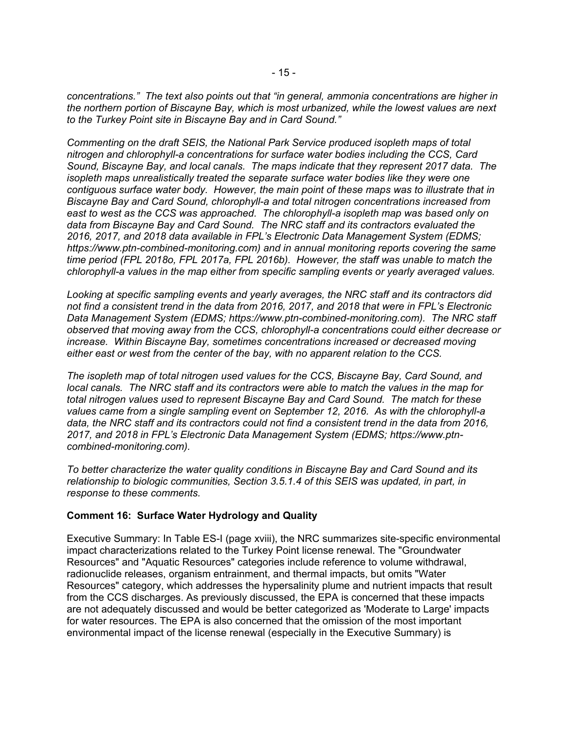*concentrations." The text also points out that "in general, ammonia concentrations are higher in the northern portion of Biscayne Bay, which is most urbanized, while the lowest values are next to the Turkey Point site in Biscayne Bay and in Card Sound."* 

*Commenting on the draft SEIS, the National Park Service produced isopleth maps of total nitrogen and chlorophyll-a concentrations for surface water bodies including the CCS, Card Sound, Biscayne Bay, and local canals. The maps indicate that they represent 2017 data. The isopleth maps unrealistically treated the separate surface water bodies like they were one contiguous surface water body. However, the main point of these maps was to illustrate that in Biscayne Bay and Card Sound, chlorophyll-a and total nitrogen concentrations increased from east to west as the CCS was approached. The chlorophyll-a isopleth map was based only on data from Biscayne Bay and Card Sound. The NRC staff and its contractors evaluated the 2016, 2017, and 2018 data available in FPL's Electronic Data Management System (EDMS; https://www.ptn-combined-monitoring.com) and in annual monitoring reports covering the same time period (FPL 2018o, FPL 2017a, FPL 2016b). However, the staff was unable to match the chlorophyll-a values in the map either from specific sampling events or yearly averaged values.* 

*Looking at specific sampling events and yearly averages, the NRC staff and its contractors did not find a consistent trend in the data from 2016, 2017, and 2018 that were in FPL's Electronic Data Management System (EDMS; https://www.ptn-combined-monitoring.com). The NRC staff observed that moving away from the CCS, chlorophyll-a concentrations could either decrease or increase. Within Biscayne Bay, sometimes concentrations increased or decreased moving either east or west from the center of the bay, with no apparent relation to the CCS.* 

*The isopleth map of total nitrogen used values for the CCS, Biscayne Bay, Card Sound, and local canals. The NRC staff and its contractors were able to match the values in the map for total nitrogen values used to represent Biscayne Bay and Card Sound. The match for these values came from a single sampling event on September 12, 2016. As with the chlorophyll-a data, the NRC staff and its contractors could not find a consistent trend in the data from 2016, 2017, and 2018 in FPL's Electronic Data Management System (EDMS; https://www.ptncombined-monitoring.com).* 

*To better characterize the water quality conditions in Biscayne Bay and Card Sound and its relationship to biologic communities, Section 3.5.1.4 of this SEIS was updated, in part, in response to these comments.* 

## **Comment 16: Surface Water Hydrology and Quality**

Executive Summary: In Table ES-I (page xviii), the NRC summarizes site-specific environmental impact characterizations related to the Turkey Point license renewal. The "Groundwater Resources" and "Aquatic Resources" categories include reference to volume withdrawal, radionuclide releases, organism entrainment, and thermal impacts, but omits "Water Resources" category, which addresses the hypersalinity plume and nutrient impacts that result from the CCS discharges. As previously discussed, the EPA is concerned that these impacts are not adequately discussed and would be better categorized as 'Moderate to Large' impacts for water resources. The EPA is also concerned that the omission of the most important environmental impact of the license renewal (especially in the Executive Summary) is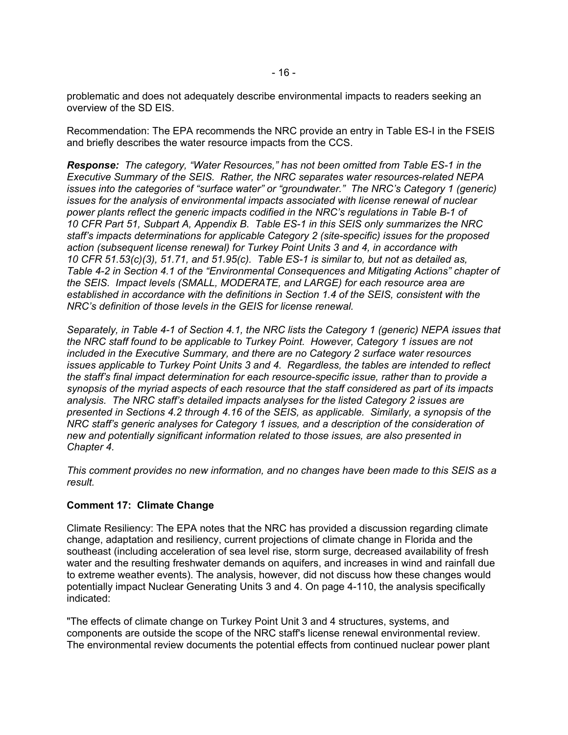problematic and does not adequately describe environmental impacts to readers seeking an overview of the SD EIS.

Recommendation: The EPA recommends the NRC provide an entry in Table ES-I in the FSEIS and briefly describes the water resource impacts from the CCS.

*Response:**The category, "Water Resources," has not been omitted from Table ES-1 in the Executive Summary of the SEIS. Rather, the NRC separates water resources-related NEPA issues into the categories of "surface water" or "groundwater." The NRC's Category 1 (generic) issues for the analysis of environmental impacts associated with license renewal of nuclear power plants reflect the generic impacts codified in the NRC's regulations in Table B-1 of 10 CFR Part 51, Subpart A, Appendix B. Table ES-1 in this SEIS only summarizes the NRC staff's impacts determinations for applicable Category 2 (site-specific) issues for the proposed action (subsequent license renewal) for Turkey Point Units 3 and 4, in accordance with 10 CFR 51.53(c)(3), 51.71, and 51.95(c). Table ES-1 is similar to, but not as detailed as, Table 4-2 in Section 4.1 of the "Environmental Consequences and Mitigating Actions" chapter of the SEIS. Impact levels (SMALL, MODERATE, and LARGE) for each resource area are established in accordance with the definitions in Section 1.4 of the SEIS, consistent with the NRC's definition of those levels in the GEIS for license renewal.* 

*Separately, in Table 4-1 of Section 4.1, the NRC lists the Category 1 (generic) NEPA issues that the NRC staff found to be applicable to Turkey Point. However, Category 1 issues are not included in the Executive Summary, and there are no Category 2 surface water resources issues applicable to Turkey Point Units 3 and 4. Regardless, the tables are intended to reflect the staff's final impact determination for each resource-specific issue, rather than to provide a synopsis of the myriad aspects of each resource that the staff considered as part of its impacts analysis. The NRC staff's detailed impacts analyses for the listed Category 2 issues are presented in Sections 4.2 through 4.16 of the SEIS, as applicable. Similarly, a synopsis of the NRC staff's generic analyses for Category 1 issues, and a description of the consideration of new and potentially significant information related to those issues, are also presented in Chapter 4.* 

*This comment provides no new information, and no changes have been made to this SEIS as a result.* 

## **Comment 17: Climate Change**

Climate Resiliency: The EPA notes that the NRC has provided a discussion regarding climate change, adaptation and resiliency, current projections of climate change in Florida and the southeast (including acceleration of sea level rise, storm surge, decreased availability of fresh water and the resulting freshwater demands on aquifers, and increases in wind and rainfall due to extreme weather events). The analysis, however, did not discuss how these changes would potentially impact Nuclear Generating Units 3 and 4. On page 4-110, the analysis specifically indicated:

"The effects of climate change on Turkey Point Unit 3 and 4 structures, systems, and components are outside the scope of the NRC staff's license renewal environmental review. The environmental review documents the potential effects from continued nuclear power plant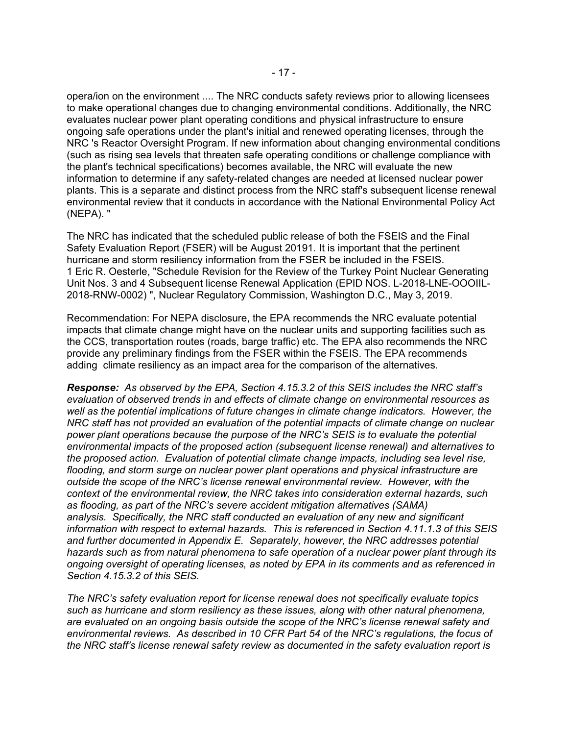opera/ion on the environment .... The NRC conducts safety reviews prior to allowing licensees to make operational changes due to changing environmental conditions. Additionally, the NRC evaluates nuclear power plant operating conditions and physical infrastructure to ensure ongoing safe operations under the plant's initial and renewed operating licenses, through the NRC 's Reactor Oversight Program. If new information about changing environmental conditions (such as rising sea levels that threaten safe operating conditions or challenge compliance with the plant's technical specifications) becomes available, the NRC will evaluate the new information to determine if any safety-related changes are needed at licensed nuclear power plants. This is a separate and distinct process from the NRC staff's subsequent license renewal environmental review that it conducts in accordance with the National Environmental Policy Act (NEPA). "

The NRC has indicated that the scheduled public release of both the FSEIS and the Final Safety Evaluation Report (FSER) will be August 20191. It is important that the pertinent hurricane and storm resiliency information from the FSER be included in the FSEIS. 1 Eric R. Oesterle, "Schedule Revision for the Review of the Turkey Point Nuclear Generating Unit Nos. 3 and 4 Subsequent license Renewal Application (EPID NOS. L-2018-LNE-OOOIIL-2018-RNW-0002) ", Nuclear Regulatory Commission, Washington D.C., May 3, 2019.

Recommendation: For NEPA disclosure, the EPA recommends the NRC evaluate potential impacts that climate change might have on the nuclear units and supporting facilities such as the CCS, transportation routes (roads, barge traffic) etc. The EPA also recommends the NRC provide any preliminary findings from the FSER within the FSEIS. The EPA recommends adding climate resiliency as an impact area for the comparison of the alternatives.

*Response:**As observed by the EPA, Section 4.15.3.2 of this SEIS includes the NRC staff's evaluation of observed trends in and effects of climate change on environmental resources as well as the potential implications of future changes in climate change indicators. However, the NRC staff has not provided an evaluation of the potential impacts of climate change on nuclear power plant operations because the purpose of the NRC's SEIS is to evaluate the potential environmental impacts of the proposed action (subsequent license renewal) and alternatives to the proposed action. Evaluation of potential climate change impacts, including sea level rise, flooding, and storm surge on nuclear power plant operations and physical infrastructure are outside the scope of the NRC's license renewal environmental review. However, with the context of the environmental review, the NRC takes into consideration external hazards, such as flooding, as part of the NRC's severe accident mitigation alternatives (SAMA) analysis. Specifically, the NRC staff conducted an evaluation of any new and significant information with respect to external hazards. This is referenced in Section 4.11.1.3 of this SEIS and further documented in Appendix E. Separately, however, the NRC addresses potential hazards such as from natural phenomena to safe operation of a nuclear power plant through its ongoing oversight of operating licenses, as noted by EPA in its comments and as referenced in Section 4.15.3.2 of this SEIS.* 

*The NRC's safety evaluation report for license renewal does not specifically evaluate topics such as hurricane and storm resiliency as these issues, along with other natural phenomena, are evaluated on an ongoing basis outside the scope of the NRC's license renewal safety and environmental reviews. As described in 10 CFR Part 54 of the NRC's regulations, the focus of the NRC staff's license renewal safety review as documented in the safety evaluation report is*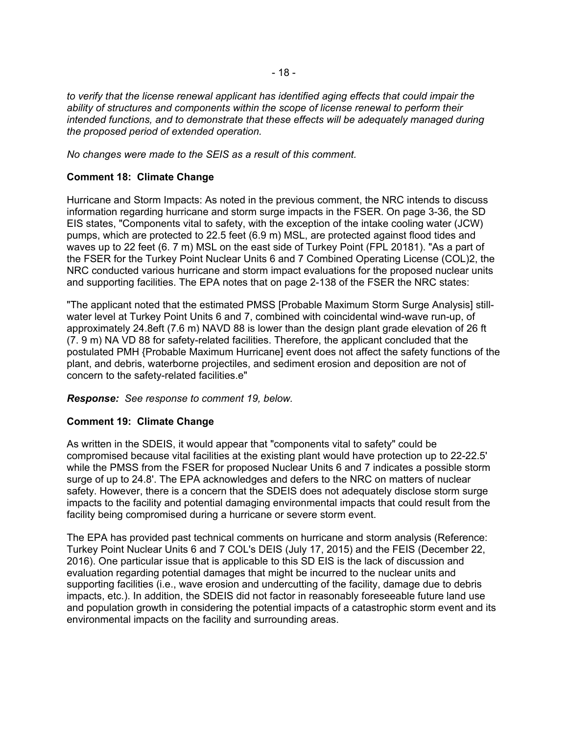*to verify that the license renewal applicant has identified aging effects that could impair the ability of structures and components within the scope of license renewal to perform their intended functions, and to demonstrate that these effects will be adequately managed during the proposed period of extended operation.* 

*No changes were made to the SEIS as a result of this comment.* 

# **Comment 18: Climate Change**

Hurricane and Storm Impacts: As noted in the previous comment, the NRC intends to discuss information regarding hurricane and storm surge impacts in the FSER. On page 3-36, the SD EIS states, "Components vital to safety, with the exception of the intake cooling water (JCW) pumps, which are protected to 22.5 feet (6.9 m) MSL, are protected against flood tides and waves up to 22 feet (6. 7 m) MSL on the east side of Turkey Point (FPL 20181). "As a part of the FSER for the Turkey Point Nuclear Units 6 and 7 Combined Operating License (COL)2, the NRC conducted various hurricane and storm impact evaluations for the proposed nuclear units and supporting facilities. The EPA notes that on page 2-138 of the FSER the NRC states:

"The applicant noted that the estimated PMSS [Probable Maximum Storm Surge Analysis] stillwater level at Turkey Point Units 6 and 7, combined with coincidental wind-wave run-up, of approximately 24.8eft (7.6 m) NAVD 88 is lower than the design plant grade elevation of 26 ft (7. 9 m) NA VD 88 for safety-related facilities. Therefore, the applicant concluded that the postulated PMH {Probable Maximum Hurricane] event does not affect the safety functions of the plant, and debris, waterborne projectiles, and sediment erosion and deposition are not of concern to the safety-related facilities.e"

*Response:**See response to comment 19, below.* 

## **Comment 19: Climate Change**

As written in the SDEIS, it would appear that "components vital to safety" could be compromised because vital facilities at the existing plant would have protection up to 22-22.5' while the PMSS from the FSER for proposed Nuclear Units 6 and 7 indicates a possible storm surge of up to 24.8'. The EPA acknowledges and defers to the NRC on matters of nuclear safety. However, there is a concern that the SDEIS does not adequately disclose storm surge impacts to the facility and potential damaging environmental impacts that could result from the facility being compromised during a hurricane or severe storm event.

The EPA has provided past technical comments on hurricane and storm analysis (Reference: Turkey Point Nuclear Units 6 and 7 COL's DEIS (July 17, 2015) and the FEIS (December 22, 2016). One particular issue that is applicable to this SD EIS is the lack of discussion and evaluation regarding potential damages that might be incurred to the nuclear units and supporting facilities (i.e., wave erosion and undercutting of the facility, damage due to debris impacts, etc.). In addition, the SDEIS did not factor in reasonably foreseeable future land use and population growth in considering the potential impacts of a catastrophic storm event and its environmental impacts on the facility and surrounding areas.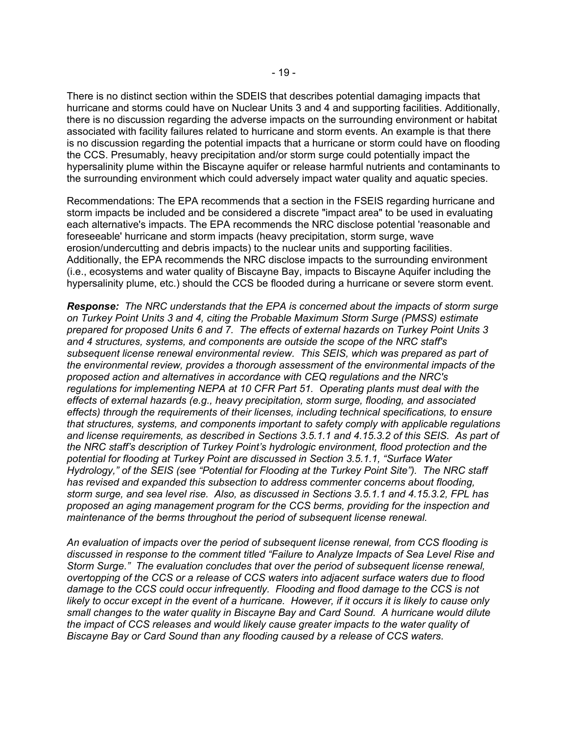There is no distinct section within the SDEIS that describes potential damaging impacts that hurricane and storms could have on Nuclear Units 3 and 4 and supporting facilities. Additionally, there is no discussion regarding the adverse impacts on the surrounding environment or habitat associated with facility failures related to hurricane and storm events. An example is that there is no discussion regarding the potential impacts that a hurricane or storm could have on flooding the CCS. Presumably, heavy precipitation and/or storm surge could potentially impact the hypersalinity plume within the Biscayne aquifer or release harmful nutrients and contaminants to the surrounding environment which could adversely impact water quality and aquatic species.

Recommendations: The EPA recommends that a section in the FSEIS regarding hurricane and storm impacts be included and be considered a discrete "impact area" to be used in evaluating each alternative's impacts. The EPA recommends the NRC disclose potential 'reasonable and foreseeable' hurricane and storm impacts (heavy precipitation, storm surge, wave erosion/undercutting and debris impacts) to the nuclear units and supporting facilities. Additionally, the EPA recommends the NRC disclose impacts to the surrounding environment (i.e., ecosystems and water quality of Biscayne Bay, impacts to Biscayne Aquifer including the hypersalinity plume, etc.) should the CCS be flooded during a hurricane or severe storm event.

*Response:**The NRC understands that the EPA is concerned about the impacts of storm surge on Turkey Point Units 3 and 4, citing the Probable Maximum Storm Surge (PMSS) estimate prepared for proposed Units 6 and 7. The effects of external hazards on Turkey Point Units 3 and 4 structures, systems, and components are outside the scope of the NRC staff's subsequent license renewal environmental review. This SEIS, which was prepared as part of the environmental review, provides a thorough assessment of the environmental impacts of the proposed action and alternatives in accordance with CEQ regulations and the NRC's regulations for implementing NEPA at 10 CFR Part 51. Operating plants must deal with the effects of external hazards (e.g., heavy precipitation, storm surge, flooding, and associated effects) through the requirements of their licenses, including technical specifications, to ensure that structures, systems, and components important to safety comply with applicable regulations and license requirements, as described in Sections 3.5.1.1 and 4.15.3.2 of this SEIS. As part of the NRC staff's description of Turkey Point's hydrologic environment, flood protection and the potential for flooding at Turkey Point are discussed in Section 3.5.1.1, "Surface Water Hydrology," of the SEIS (see "Potential for Flooding at the Turkey Point Site"). The NRC staff has revised and expanded this subsection to address commenter concerns about flooding, storm surge, and sea level rise. Also, as discussed in Sections 3.5.1.1 and 4.15.3.2, FPL has proposed an aging management program for the CCS berms, providing for the inspection and maintenance of the berms throughout the period of subsequent license renewal.* 

*An evaluation of impacts over the period of subsequent license renewal, from CCS flooding is discussed in response to the comment titled "Failure to Analyze Impacts of Sea Level Rise and Storm Surge." The evaluation concludes that over the period of subsequent license renewal, overtopping of the CCS or a release of CCS waters into adjacent surface waters due to flood damage to the CCS could occur infrequently. Flooding and flood damage to the CCS is not likely to occur except in the event of a hurricane. However, if it occurs it is likely to cause only small changes to the water quality in Biscayne Bay and Card Sound. A hurricane would dilute the impact of CCS releases and would likely cause greater impacts to the water quality of Biscayne Bay or Card Sound than any flooding caused by a release of CCS waters.*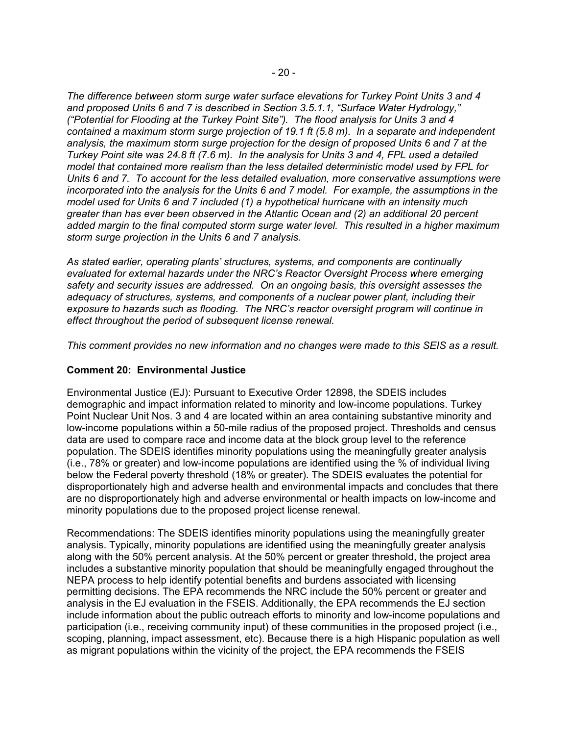*The difference between storm surge water surface elevations for Turkey Point Units 3 and 4 and proposed Units 6 and 7 is described in Section 3.5.1.1, "Surface Water Hydrology," ("Potential for Flooding at the Turkey Point Site"). The flood analysis for Units 3 and 4 contained a maximum storm surge projection of 19.1 ft (5.8 m). In a separate and independent analysis, the maximum storm surge projection for the design of proposed Units 6 and 7 at the Turkey Point site was 24.8 ft (7.6 m). In the analysis for Units 3 and 4, FPL used a detailed model that contained more realism than the less detailed deterministic model used by FPL for Units 6 and 7. To account for the less detailed evaluation, more conservative assumptions were incorporated into the analysis for the Units 6 and 7 model. For example, the assumptions in the model used for Units 6 and 7 included (1) a hypothetical hurricane with an intensity much greater than has ever been observed in the Atlantic Ocean and (2) an additional 20 percent added margin to the final computed storm surge water level. This resulted in a higher maximum storm surge projection in the Units 6 and 7 analysis.* 

*As stated earlier, operating plants' structures, systems, and components are continually evaluated for external hazards under the NRC's Reactor Oversight Process where emerging safety and security issues are addressed. On an ongoing basis, this oversight assesses the adequacy of structures, systems, and components of a nuclear power plant, including their exposure to hazards such as flooding. The NRC's reactor oversight program will continue in effect throughout the period of subsequent license renewal.* 

*This comment provides no new information and no changes were made to this SEIS as a result.* 

# **Comment 20: Environmental Justice**

Environmental Justice (EJ): Pursuant to Executive Order 12898, the SDEIS includes demographic and impact information related to minority and low-income populations. Turkey Point Nuclear Unit Nos. 3 and 4 are located within an area containing substantive minority and low-income populations within a 50-mile radius of the proposed project. Thresholds and census data are used to compare race and income data at the block group level to the reference population. The SDEIS identifies minority populations using the meaningfully greater analysis (i.e., 78% or greater) and low-income populations are identified using the % of individual living below the Federal poverty threshold (18% or greater). The SDEIS evaluates the potential for disproportionately high and adverse health and environmental impacts and concludes that there are no disproportionately high and adverse environmental or health impacts on low-income and minority populations due to the proposed project license renewal.

Recommendations: The SDEIS identifies minority populations using the meaningfully greater analysis. Typically, minority populations are identified using the meaningfully greater analysis along with the 50% percent analysis. At the 50% percent or greater threshold, the project area includes a substantive minority population that should be meaningfully engaged throughout the NEPA process to help identify potential benefits and burdens associated with licensing permitting decisions. The EPA recommends the NRC include the 50% percent or greater and analysis in the EJ evaluation in the FSEIS. Additionally, the EPA recommends the EJ section include information about the public outreach efforts to minority and low-income populations and participation (i.e., receiving community input) of these communities in the proposed project (i.e., scoping, planning, impact assessment, etc). Because there is a high Hispanic population as well as migrant populations within the vicinity of the project, the EPA recommends the FSEIS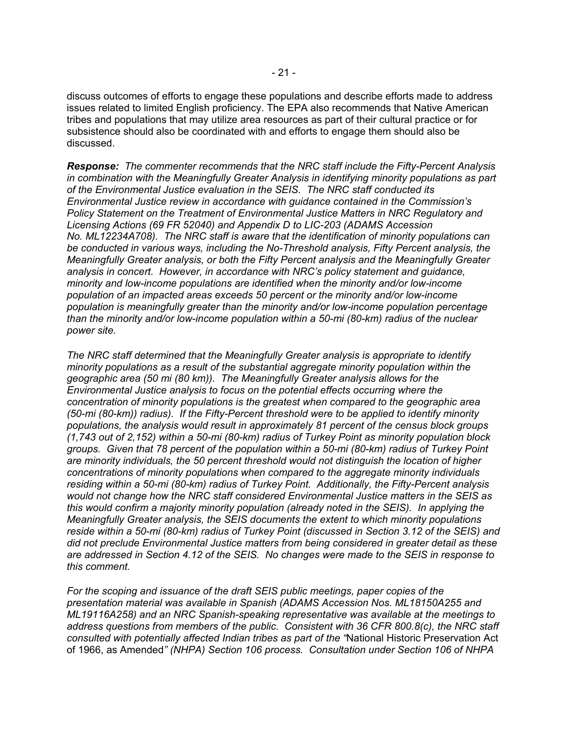discuss outcomes of efforts to engage these populations and describe efforts made to address issues related to limited English proficiency. The EPA also recommends that Native American tribes and populations that may utilize area resources as part of their cultural practice or for subsistence should also be coordinated with and efforts to engage them should also be discussed.

*Response: The commenter recommends that the NRC staff include the Fifty-Percent Analysis in combination with the Meaningfully Greater Analysis in identifying minority populations as part of the Environmental Justice evaluation in the SEIS. The NRC staff conducted its Environmental Justice review in accordance with guidance contained in the Commission's Policy Statement on the Treatment of Environmental Justice Matters in NRC Regulatory and Licensing Actions (69 FR 52040) and Appendix D to LIC-203 (ADAMS Accession No. ML12234A708). The NRC staff is aware that the identification of minority populations can be conducted in various ways, including the No-Threshold analysis, Fifty Percent analysis, the Meaningfully Greater analysis, or both the Fifty Percent analysis and the Meaningfully Greater analysis in concert. However, in accordance with NRC's policy statement and guidance, minority and low-income populations are identified when the minority and/or low-income population of an impacted areas exceeds 50 percent or the minority and/or low-income population is meaningfully greater than the minority and/or low-income population percentage than the minority and/or low-income population within a 50-mi (80-km) radius of the nuclear power site.* 

*The NRC staff determined that the Meaningfully Greater analysis is appropriate to identify minority populations as a result of the substantial aggregate minority population within the geographic area (50 mi (80 km)). The Meaningfully Greater analysis allows for the Environmental Justice analysis to focus on the potential effects occurring where the concentration of minority populations is the greatest when compared to the geographic area (50-mi (80-km)) radius). If the Fifty-Percent threshold were to be applied to identify minority populations, the analysis would result in approximately 81 percent of the census block groups (1,743 out of 2,152) within a 50-mi (80-km) radius of Turkey Point as minority population block groups. Given that 78 percent of the population within a 50-mi (80-km) radius of Turkey Point are minority individuals, the 50 percent threshold would not distinguish the location of higher concentrations of minority populations when compared to the aggregate minority individuals residing within a 50-mi (80-km) radius of Turkey Point. Additionally, the Fifty-Percent analysis would not change how the NRC staff considered Environmental Justice matters in the SEIS as this would confirm a majority minority population (already noted in the SEIS). In applying the Meaningfully Greater analysis, the SEIS documents the extent to which minority populations reside within a 50-mi (80-km) radius of Turkey Point (discussed in Section 3.12 of the SEIS) and did not preclude Environmental Justice matters from being considered in greater detail as these are addressed in Section 4.12 of the SEIS. No changes were made to the SEIS in response to this comment.* 

*For the scoping and issuance of the draft SEIS public meetings, paper copies of the presentation material was available in Spanish (ADAMS Accession Nos. ML18150A255 and ML19116A258) and an NRC Spanish-speaking representative was available at the meetings to address questions from members of the public. Consistent with 36 CFR 800.8(c), the NRC staff consulted with potentially affected Indian tribes as part of the "*National Historic Preservation Act of 1966, as Amended*" (NHPA) Section 106 process. Consultation under Section 106 of NHPA*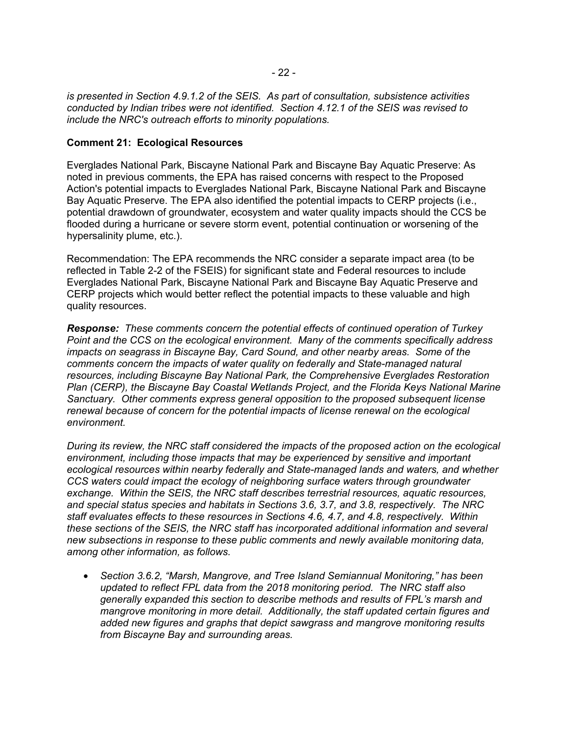*is presented in Section 4.9.1.2 of the SEIS. As part of consultation, subsistence activities conducted by Indian tribes were not identified. Section 4.12.1 of the SEIS was revised to include the NRC's outreach efforts to minority populations.* 

## **Comment 21: Ecological Resources**

Everglades National Park, Biscayne National Park and Biscayne Bay Aquatic Preserve: As noted in previous comments, the EPA has raised concerns with respect to the Proposed Action's potential impacts to Everglades National Park, Biscayne National Park and Biscayne Bay Aquatic Preserve. The EPA also identified the potential impacts to CERP projects (i.e., potential drawdown of groundwater, ecosystem and water quality impacts should the CCS be flooded during a hurricane or severe storm event, potential continuation or worsening of the hypersalinity plume, etc.).

Recommendation: The EPA recommends the NRC consider a separate impact area (to be reflected in Table 2-2 of the FSEIS) for significant state and Federal resources to include Everglades National Park, Biscayne National Park and Biscayne Bay Aquatic Preserve and CERP projects which would better reflect the potential impacts to these valuable and high quality resources.

*Response:**These comments concern the potential effects of continued operation of Turkey Point and the CCS on the ecological environment. Many of the comments specifically address impacts on seagrass in Biscayne Bay, Card Sound, and other nearby areas. Some of the comments concern the impacts of water quality on federally and State-managed natural resources, including Biscayne Bay National Park, the Comprehensive Everglades Restoration Plan (CERP), the Biscayne Bay Coastal Wetlands Project, and the Florida Keys National Marine Sanctuary. Other comments express general opposition to the proposed subsequent license renewal because of concern for the potential impacts of license renewal on the ecological environment.* 

*During its review, the NRC staff considered the impacts of the proposed action on the ecological environment, including those impacts that may be experienced by sensitive and important ecological resources within nearby federally and State-managed lands and waters, and whether CCS waters could impact the ecology of neighboring surface waters through groundwater exchange. Within the SEIS, the NRC staff describes terrestrial resources, aquatic resources, and special status species and habitats in Sections 3.6, 3.7, and 3.8, respectively. The NRC staff evaluates effects to these resources in Sections 4.6, 4.7, and 4.8, respectively. Within these sections of the SEIS, the NRC staff has incorporated additional information and several new subsections in response to these public comments and newly available monitoring data, among other information, as follows.* 

• *Section 3.6.2, "Marsh, Mangrove, and Tree Island Semiannual Monitoring," has been updated to reflect FPL data from the 2018 monitoring period. The NRC staff also generally expanded this section to describe methods and results of FPL's marsh and mangrove monitoring in more detail. Additionally, the staff updated certain figures and added new figures and graphs that depict sawgrass and mangrove monitoring results from Biscayne Bay and surrounding areas.*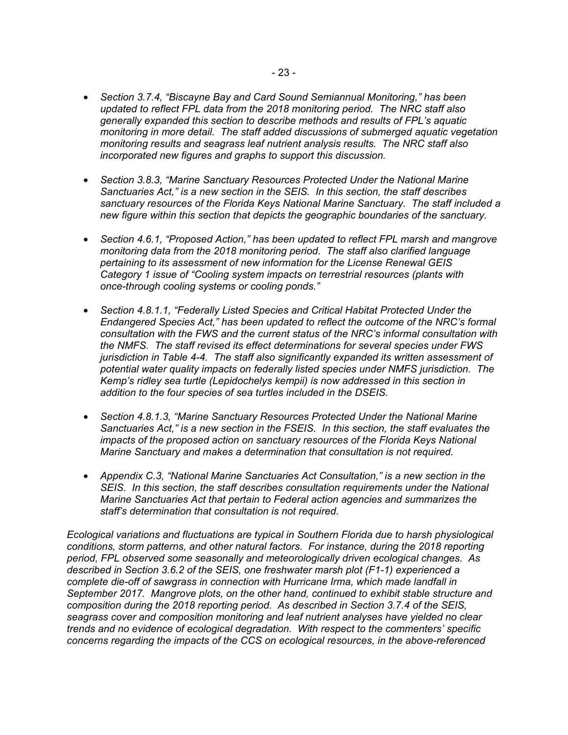- *Section 3.7.4, "Biscayne Bay and Card Sound Semiannual Monitoring," has been updated to reflect FPL data from the 2018 monitoring period. The NRC staff also generally expanded this section to describe methods and results of FPL's aquatic monitoring in more detail. The staff added discussions of submerged aquatic vegetation monitoring results and seagrass leaf nutrient analysis results. The NRC staff also incorporated new figures and graphs to support this discussion.*
- *Section 3.8.3, "Marine Sanctuary Resources Protected Under the National Marine Sanctuaries Act," is a new section in the SEIS. In this section, the staff describes sanctuary resources of the Florida Keys National Marine Sanctuary. The staff included a new figure within this section that depicts the geographic boundaries of the sanctuary.*
- *Section 4.6.1, "Proposed Action," has been updated to reflect FPL marsh and mangrove monitoring data from the 2018 monitoring period. The staff also clarified language pertaining to its assessment of new information for the License Renewal GEIS Category 1 issue of "Cooling system impacts on terrestrial resources (plants with once-through cooling systems or cooling ponds."*
- *Section 4.8.1.1, "Federally Listed Species and Critical Habitat Protected Under the Endangered Species Act," has been updated to reflect the outcome of the NRC's formal consultation with the FWS and the current status of the NRC's informal consultation with the NMFS. The staff revised its effect determinations for several species under FWS jurisdiction in Table 4-4. The staff also significantly expanded its written assessment of potential water quality impacts on federally listed species under NMFS jurisdiction. The Kemp's ridley sea turtle (Lepidochelys kempii) is now addressed in this section in addition to the four species of sea turtles included in the DSEIS.*
- *Section 4.8.1.3, "Marine Sanctuary Resources Protected Under the National Marine Sanctuaries Act," is a new section in the FSEIS. In this section, the staff evaluates the impacts of the proposed action on sanctuary resources of the Florida Keys National Marine Sanctuary and makes a determination that consultation is not required.*
- *Appendix C.3, "National Marine Sanctuaries Act Consultation," is a new section in the SEIS. In this section, the staff describes consultation requirements under the National Marine Sanctuaries Act that pertain to Federal action agencies and summarizes the staff's determination that consultation is not required.*

*Ecological variations and fluctuations are typical in Southern Florida due to harsh physiological conditions, storm patterns, and other natural factors. For instance, during the 2018 reporting period, FPL observed some seasonally and meteorologically driven ecological changes. As described in Section 3.6.2 of the SEIS, one freshwater marsh plot (F1-1) experienced a complete die-off of sawgrass in connection with Hurricane Irma, which made landfall in September 2017. Mangrove plots, on the other hand, continued to exhibit stable structure and composition during the 2018 reporting period. As described in Section 3.7.4 of the SEIS, seagrass cover and composition monitoring and leaf nutrient analyses have yielded no clear trends and no evidence of ecological degradation. With respect to the commenters' specific concerns regarding the impacts of the CCS on ecological resources, in the above-referenced*